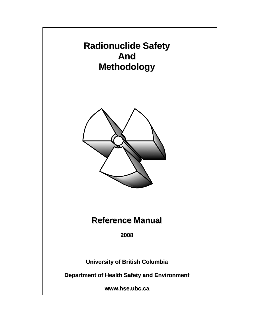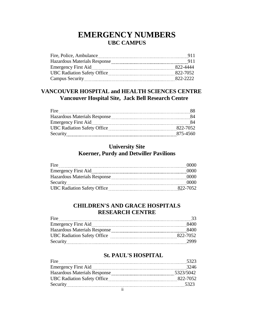# **EMERGENCY NUMBERS UBC CAMPUS**

| Fire, Police, Ambulance             | 911      |
|-------------------------------------|----------|
| <b>Hazardous Materials Response</b> | 911      |
| Emergency First Aid                 | 822-4444 |
| <b>UBC Radiation Safety Office</b>  | 822-7052 |
|                                     | 822-2222 |

# **VANCOUVER HOSPITAL and HEALTH SCIENCES CENTRE Vancouver Hospital Site, Jack Bell Research Centre**

| Fire                                |          |
|-------------------------------------|----------|
| <b>Hazardous Materials Response</b> | 84       |
|                                     |          |
| <b>UBC Radiation Safety Office</b>  | 822-7052 |
| Security                            | 875-4560 |

# **University Site Koerner, Purdy and Detwiller Pavilions**

| Fire                               | 0000     |
|------------------------------------|----------|
|                                    | 0000     |
| Hazardous Materials Response       | 0000     |
| Security                           | 0000     |
| <b>UBC Radiation Safety Office</b> | 822-7052 |

# **CHILDREN'S AND GRACE HOSPITALS RESEARCH CENTRE**

| Fire                               |          |
|------------------------------------|----------|
|                                    | 8400     |
| Hazardous Materials Response       | 8400     |
| <b>UBC Radiation Safety Office</b> | 822-7052 |
| Security                           | 2999     |

# **St. PAUL'S HOSPITAL**

| Fire                                | 5323      |
|-------------------------------------|-----------|
| <b>Emergency First Aid</b>          | 3246      |
| <b>Hazardous Materials Response</b> | 5323/5042 |
| <b>UBC Radiation Safety Office</b>  | 822-7052  |
| Security                            | 5323      |
|                                     |           |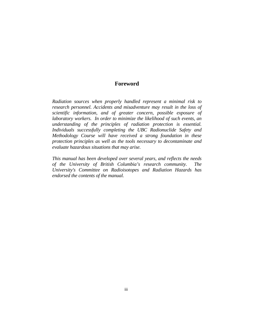#### **Foreword**

*Radiation sources when properly handled represent a minimal risk to research personnel. Accidents and misadventure may result in the loss of scientific information, and of greater concern, possible exposure of laboratory workers. In order to minimize the likelihood of such events, an understanding of the principles of radiation protection is essential. Individuals successfully completing the UBC Radionuclide Safety and Methodology Course will have received a strong foundation in these protection principles as well as the tools necessary to decontaminate and evaluate hazardous situations that may arise.* 

*This manual has been developed over several years, and reflects the needs of the University of British Columbia's research community. The University's Committee on Radioisotopes and Radiation Hazards has endorsed the contents of the manual.*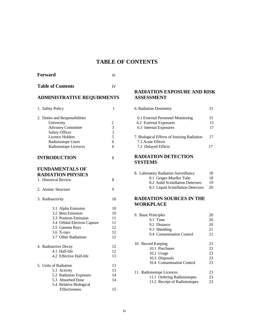# **TABLE OF CONTENTS**

| <b>Forward</b>                                                                                                                                                              | iii                                                       |
|-----------------------------------------------------------------------------------------------------------------------------------------------------------------------------|-----------------------------------------------------------|
| <b>Table of Contents</b>                                                                                                                                                    | iv                                                        |
| <b>ADMINISTRATIVE REQUIRMENTS</b>                                                                                                                                           |                                                           |
| 1. Safety Policy                                                                                                                                                            | 1                                                         |
| 2. Duties and Responsibilities<br>University<br><b>Advisory Committee</b><br><b>Safety Officer</b><br><b>Licence Holders</b><br>Radioisotope Users<br>Radioisotope Licences | $\begin{array}{c} 2 \\ 3 \\ 3 \\ 5 \end{array}$<br>6<br>6 |
| <b>INTRODUCTION</b>                                                                                                                                                         | 8                                                         |
| <b>FUNDAMENTALS OF</b><br><b>RADIATION PHYSICS</b><br>1. Historical Review                                                                                                  | 8                                                         |
| 2. Atomic Structure                                                                                                                                                         | 9                                                         |
| 3. Radioactivity                                                                                                                                                            | 10                                                        |
| 3.1 Alpha Emission<br>3.2 Beta Emission<br>3.3 Positron Emission<br>3.4 Orbital Electron Capture<br>3.5 Gamma Rays<br>3.6 X-rays<br>3.7 Other Radiations                    | 10<br>10<br>11<br>11<br>12<br>12<br>12                    |
| 4. Radioactive Decay<br>4.1 Half-life<br>4.2 Effective Half-life                                                                                                            | 12<br>12<br>13                                            |
| 5. Units of Radiation<br>5.1 Activity<br>5.2 Radiation Exposure<br>5.3 Absorbed Dose<br>5.4 Relative Biological<br>Effectiveness                                            | 13<br>13<br>14<br>14<br>15                                |

## **RADIATION EXPOSURE AND RISK ASSESSMENT**

| 6. Radiation Dosimetry                                                                |                |
|---------------------------------------------------------------------------------------|----------------|
| 6.1 External Personnel Monitoring<br>6.2 External Exposures<br>6.3 Internal Exposures | 15<br>15<br>17 |
| 7. Biological Effects of Ionizing Radiation<br>7.1 Acute Effects                      | 17             |
| 7.2 Delayed Effects                                                                   |                |

#### **RADIATION DETECTION SYSTEMS**

|  | 8. Laboratory Radiation Surveillance | 18. |
|--|--------------------------------------|-----|
|  | 8.1 Geiger-Mueller Tube              | 18  |
|  | 8.2 Solid Scintillation Detectors    | 19  |
|  | 8.3 Liquid Scintillation Detectors   | 20  |

#### **RADIATION SOURCES IN THE WORKPLACE**

| 9. Basic Principles           | 20 |
|-------------------------------|----|
| 9.1 Time                      | 20 |
| 9.2 Distance                  | 20 |
| 9.3 Shielding                 | 21 |
| 9.4 Contamination Control     | 21 |
| 10. Record Keeping            | 23 |
| 10.1 Purchases                | 23 |
| 10.2 Usage                    | 23 |
| 10.3 Disposals                | 23 |
| 10.4 Contamination Control    | 23 |
| 11. Radioisotope Licences     | 23 |
| 11.1 Ordering Radioisotopes   | 23 |
| 11.2 Receipt of Radioisotopes | 23 |
|                               |    |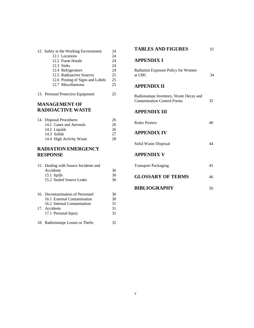| 12. Safety in the Working Environment         | 24 |  |
|-----------------------------------------------|----|--|
| 12.1 Locations                                | 24 |  |
| 12.2 Fume Hoods                               | 24 |  |
| 12.3 Sinks                                    | 24 |  |
| 12.4 Refrigerators                            | 24 |  |
| 12.5 Radioactive Sources                      | 25 |  |
| 12.6 Posting of Signs and Labels              | 25 |  |
| 12.7 Miscellaneous                            | 25 |  |
| 13. Personal Protective Equipment             | 25 |  |
| <b>MANAGEMENT OF</b><br>DA DIA A ATIVE WA STE |    |  |

# **RADIOACTIVE WASTE**

| 14. Disposal Procedures  | 26 |
|--------------------------|----|
| 14.1 Gases and Aerosols  | 26 |
| 14.2 Liquids             | 26 |
| 14.3 Solids              | 27 |
| 14.4 High Activity Waste | 28 |
|                          |    |

## **RADIATION EMERGENCY RESPONSE**

| 15. Dealing with Source Incidents and |    |
|---------------------------------------|----|
| Accidents                             | 30 |
| 15.1 Spills                           | 30 |
| 15.2 Sealed Source Leaks              | 30 |
|                                       |    |
| 16. Decontamination of Personnel      | 30 |
| 16.1 External Contamination           | 30 |
| 16.2 Internal Contamination           | 31 |
| 17. Accidents                         | 31 |
| 17.1 Personal Injury                  | 31 |
| 18. Radioisotope Losses or Thefts     |    |

# **TABLES AND FIGURES** 33

#### **APPENDIX I**

| <b>Radiation Exposure Policy for Women</b> |     |
|--------------------------------------------|-----|
| at UBC                                     | -34 |

#### **APPENDIX II**

| Radioisotope Inventory, Waste Decay and<br><b>Contamination Control Forms</b> | 35 |
|-------------------------------------------------------------------------------|----|
| APPENDIX III                                                                  |    |
| <b>Rules Posters</b>                                                          |    |
| <b>APPENDIX IV</b>                                                            |    |

| Solid Waste Disposal |  |
|----------------------|--|
|----------------------|--|

#### **APPENDIX V**

| <b>Transport Packaging</b> | 45  |
|----------------------------|-----|
| <b>GLOSSARY OF TERMS</b>   | 46. |

| <b>BIBLIOGRAPHY</b> |  |
|---------------------|--|
|                     |  |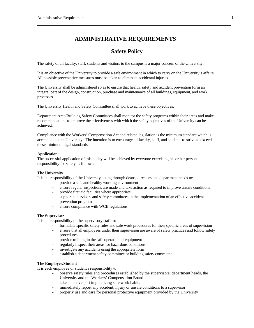# **ADMINISTRATIVE REQUIREMENTS**

\_\_\_\_\_\_\_\_\_\_\_\_\_\_\_\_\_\_\_\_\_\_\_\_\_\_\_\_\_\_\_\_\_\_\_\_\_\_\_\_\_\_\_\_\_\_\_\_\_\_\_\_\_\_\_\_\_\_\_\_\_\_\_\_\_\_\_\_\_\_

# **Safety Policy**

The safety of all faculty, staff, students and visitors to the campus is a major concern of the University.

It is an objective of the University to provide a safe environment in which to carry on the University's affairs. All possible preventative measures must be taken to eliminate accidental injuries.

The University shall be administered so as to ensure that health, safety and accident prevention form an integral part of the design, construction, purchase and maintenance of all buildings, equipment, and work processes.

The University Health and Safety Committee shall work to achieve these objectives.

Department Area/Building Safety Committees shall monitor the safety programs within their areas and make recommendations to improve the effectiveness with which the safety objectives of the University can be achieved.

Compliance with the Workers' Compensation Act and related legislation is the minimum standard which is acceptable to the University. The intention is to encourage all faculty, staff, and students to strive to exceed these minimum legal standards.

#### **Application**

The successful application of this policy will be achieved by everyone exercising his or her personal responsibility for safety as follows:

#### **The University**

It is the responsibility of the University acting through deans, directors and department heads to:

- provide a safe and healthy working environment
- ensure regular inspections are made and take action as required to improve unsafe conditions
- provide first aid facilities where appropriate
- support supervisors and safety committees in the implementation of an effective accident prevention program
- ensure compliance with WCB regulations

#### **The Supervisor**

It is the responsibility of the supervisory staff to:

- formulate specific safety rules and safe work procedures for their specific areas of supervision
- ensure that all employees under their supervision are aware of safety practices and follow safety procedures
- provide training in the safe operation of equipment
- regularly inspect their areas for hazardous conditions
- investigate any accidents using the appropriate form
- establish a department safety committee or building safety committee

#### **The Employee/Student**

It is each employee or student's responsibility to:

- observe safety rules and procedures established by the supervisors, department heads, the University and the Workers' Compensation Board
- take an active part in practicing safe work habits
- immediately report any accident, injury or unsafe conditions to a supervisor
- properly use and care for personal protective equipment provided by the University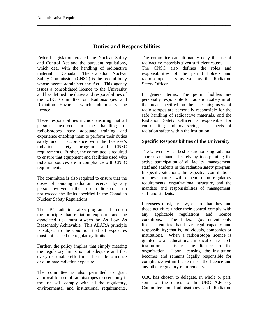#### **Duties and Responsibilities**

\_\_\_\_\_\_\_\_\_\_\_\_\_\_\_\_\_\_\_\_\_\_\_\_\_\_\_\_\_\_\_\_\_\_\_\_\_\_\_\_\_\_\_\_\_\_\_\_\_\_\_\_\_\_\_\_\_\_\_\_\_\_\_\_\_\_\_\_\_\_

Federal legislation created the Nuclear Safety and Control Act and the pursuant regulations, which deal with the handling of radioactive material in Canada. The Canadian Nuclear Safety Commission (CNSC) is the federal body whose agents administer the Act. This agency issues a consolidated licence to the University and has defined the duties and responsibilities of the UBC Committee on Radioisotopes and Radiation Hazards, which administers the licence.

These responsibilities include ensuring that all persons involved in the handling of radioisotopes have adequate training and experience enabling them to perform their duties safely and in accordance with the licensee's radiation safety program and CNSC requirements. Further, the committee is required to ensure that equipment and facilities used with radiation sources are in compliance with CNSC requirements.

The committee is also required to ensure that the doses of ionizing radiation received by any person involved in the use of radioisotopes do not exceed the limits specified in the Canadian Nuclear Safety Regulations.

The UBC radiation safety program is based on the principle that radiation exposure and the associated risk must always be As Low As Reasonably Achievable. This ALARA principle is subject to the condition that all exposures must not exceed the regulatory limits.

Further, the policy implies that simply meeting the regulatory limits is not adequate and that every reasonable effort must be made to reduce or eliminate radiation exposure.

The committee is also permitted to grant approval for use of radioisotopes to users only if the use will comply with all the regulatory, environmental and institutional requirements. The committee can ultimately deny the use of radioactive materials given sufficient cause.

The CNSC also defines the roles and responsibilities of the permit holders and radioisotope users as well as the Radiation Safety Officer.

In general terms: The permit holders are personally responsible for radiation safety in all the areas specified on their permits; users of radioisotopes are personally responsible for the safe handling of radioactive materials, and the Radiation Safety Officer is responsible for coordinating and overseeing all aspects of radiation safety within the institution.

#### **Specific Responsibilities of the University**

The University can best ensure ionizing radiation sources are handled safely by incorporating the active participation of all faculty, management, staff and students in the radiation safety program. In specific situations, the respective contributions of these parties will depend upon regulatory requirements, organizational structure, and the mandate and responsibilities of management, staff and students.

Licensees must, by law, ensure that they and those activities under their control comply with any applicable regulations and licence conditions. The federal government only licenses entities that have legal capacity and responsibility; that is, individuals, companies or institutions. When a radioisotope licence is granted to an educational, medical or research institution, it issues the licence to the organization. Upon licensing, the institution becomes and remains legally responsible for compliance within the terms of the licence and any other regulatory requirements.

UBC has chosen to delegate, in whole or part, some of the duties to the UBC Advisory Committee on Radioisotopes and Radiation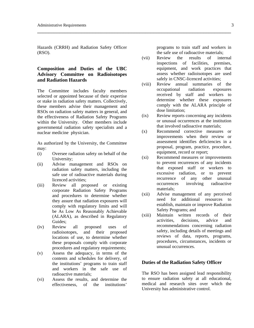Hazards (CRRH) and Radiation Safety Officer (RSO).

\_\_\_\_\_\_\_\_\_\_\_\_\_\_\_\_\_\_\_\_\_\_\_\_\_\_\_\_\_\_\_\_\_\_\_\_\_\_\_\_\_\_\_\_\_\_\_\_\_\_\_\_\_\_\_\_\_\_\_\_\_\_\_\_\_\_\_\_\_\_

#### **Composition and Duties of the UBC Advisory Committee on Radioisotopes and Radiation Hazards**

The Committee includes faculty members selected or appointed because of their expertise or stake in radiation safety matters. Collectively, these members advise their management and RSOs on radiation safety matters in general, and the effectiveness of Radiation Safety Programs within the University. Other members include governmental radiation safety specialists and a nuclear medicine physician.

As authorized by the University, the Committee may:

- (i) Oversee radiation safety on behalf of the University;
- (ii) Advise management and RSOs on radiation safety matters, including the safe use of radioactive materials during licenced activities;
- (iii) Review all proposed or existing corporate Radiation Safety Programs and procedures to determine whether they assure that radiation exposures will comply with regulatory limits and will be As Low As Reasonably Achievable (ALARA), as described in Regulatory Guides;
- (iv) Review all proposed uses of radioisotopes, and their proposed locations of use, to determine whether these proposals comply with corporate procedures and regulatory requirements;
- (v) Assess the adequacy, in terms of the contents and schedules for delivery, of the institutions' programs to train staff and workers in the safe use of radioactive materials;
- (vi) Assess the results, and determine the effectiveness, of the institutions'

programs to train staff and workers in the safe use of radioactive materials;

- (vii) Review the results of internal inspections of facilities, premises, equipment, and work practices that assess whether radioisotopes are used safely in CNSC-licenced activities;
- (viii) Review annual summaries of the occupational radiation exposures received by staff and workers to determine whether these exposures comply with the ALARA principle of dose limitation;
- (ix) Review reports concerning any incidents or unusual occurrences at the institution that involved radioactive materials;
- (x) Recommend corrective measures or improvements when their review or assessment identifies deficiencies in a proposal, program, practice, procedure, equipment, record or report;
- (xi) Recommend measures or improvements to prevent recurrences of any incidents that exposed staff or workers to excessive radiation, or to prevent recurrence of any other unusual occurrences involving radioactive materials;
- (xii) Advise management of any perceived need for additional resources to establish, maintain or improve Radiation Safety Programs; and
- (xiii) Maintain written records of their activities, decisions, advice and recommendations concerning radiation safety, including details of meetings and reviews of data, reports, programs, procedures, circumstances, incidents or unusual occurrences.

#### **Duties of the Radiation Safety Officer**

The RSO has been assigned lead responsibility to ensure radiation safety at all educational, medical and research sites over which the University has administrative control.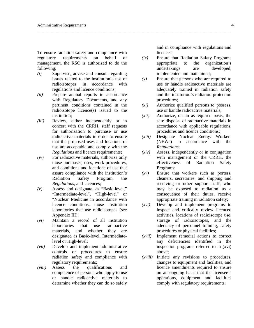To ensure radiation safety and compliance with regulatory requirements on behalf of management, the RSO is authorized to do the following:

\_\_\_\_\_\_\_\_\_\_\_\_\_\_\_\_\_\_\_\_\_\_\_\_\_\_\_\_\_\_\_\_\_\_\_\_\_\_\_\_\_\_\_\_\_\_\_\_\_\_\_\_\_\_\_\_\_\_\_\_\_\_\_\_\_\_\_\_\_\_

- *(i)* Supervise, advise and consult regarding issues related to the institution's use of radioisotopes in accordance with regulations and licence conditions;
- *(ii)* Prepare annual reports in accordance with Regulatory Documents*,* and any pertinent conditions contained in the radioisotope licence(s) issued to the institution;
- *(iii)* Review, either independently or in concert with the CRRH, staff requests for authorization to purchase or use radioactive materials in order to ensure that the proposed uses and locations of use are acceptable and comply with the *Regulations* and licence requirements;
- *(iv)* For radioactive materials, authorize only those purchases, uses, work procedures, and conditions and locations of use that assure compliance with the institution's Radiation Safety Program, the *Regulations*, and licences;
- *(v)* Assess and designate, as "Basic-level," "Intermediate-level", "High-level" or "Nuclear Medicine in accordance with licence conditions, those institution laboratories that use radioisotopes (see Appendix III);
- *(vi)* Maintain a record of all institution laboratories that use radioactive materials, and whether they are designated as Basic-level, Intermediatelevel or High-level;
- *(vii)* Develop and implement administrative controls or procedures to ensure radiation safety and compliance with regulatory requirements;
- *(viii)* Assess the qualifications and competence of persons who apply to use or handle radioactive materials to determine whether they can do so safely

and in compliance with regulations and licences;

- *(ix)* Ensure that Radiation Safety Programs appropriate to the organization's undertakings are developed, implemented and maintained;
- *(x)* Ensure that persons who are required to use or handle radioactive materials are adequately trained in radiation safety and the institution's radiation protection procedures;
- *(xi)* Authorize qualified persons to possess, use or handle radioactive materials;
- *(xii)* Authorize, on an as-required basis, the safe disposal of radioactive materials in accordance with applicable regulations, procedures and licence conditions;
- *(xiii)* Designate Nuclear Energy Workers (NEWs) in accordance with the *Regulations*;
- *(xiv)* Assess, independently or in conjugation with management or the CRRH, the effectiveness of Radiation Safety Programs;
- *(xv)* Ensure that workers such as porters, cleaners, secretaries, and shipping and receiving or other support staff, who may be exposed to radiation as a consequence of their duties, receive appropriate training in radiation safety;
- *(xvi)* Develop and implement programs to inspect and critically review licenced activities, locations of radioisotope use, storage of radioisotopes, and the adequacy of personnel training, safety procedures or physical facilities;
- *(xvii)* Implement remedial actions to correct any deficiencies identified in the inspection programs referred to in (xvi) above;
- *(xviii)* Initiate any revisions to procedures, changes to equipment and facilities, and licence amendments required to ensure on an ongoing basis that the licensee's operations, equipment and facilities comply with regulatory requirements;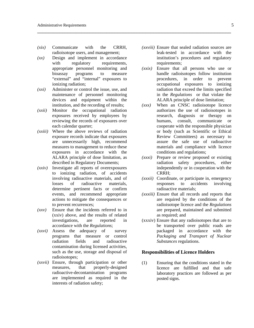- *(xix)* Communicate with the CRRH, radioisotope users, and management;
- *(xx)* Design and implement in accordance with regulatory requirements, appropriate personnel monitoring and bioassay programs to measure "external" and "internal" exposures to ionizing radiation;
- *(xxi)* Administer or control the issue, use, and maintenance of personnel monitoring devices and equipment within the institution, and the recording of results;
- *(xxii)* Monitor the occupational radiation exposures received by employees by reviewing the records of exposures over each calendar quarter;
- *(xxiii)* Where the above reviews of radiation exposure records indicate that exposures are unnecessarily high, recommend measures to management to reduce these exposures in accordance with the ALARA principle of dose limitation, as described in Regulatory Documents;
- *(xxiv)* Investigate all reports of overexposures to ionizing radiation, of accidents involving radioactive materials, and of losses of radioactive materials, determine pertinent facts or confirm events, and recommend appropriate actions to mitigate the consequences or to prevent recurrences;
- *(xxv)* Ensure that the incidents referred to in (xxiv) above, and the results of related investigations, are reported in accordance with the *Regulations*;
- *(xxvi)* Assess the adequacy of survey programs that measure or control radiation fields and radioactive contamination during licensed activities, such as the use, storage and disposal of radioisotopes;
- *(xxvii)* Ensure, through participation or other measures, that properly-designed radioactive-decontamination programs are implemented as required in the interests of radiation safety;

*(xxviii)* Ensure that sealed radiation sources are leak-tested in accordance with the institution's procedures and regulatory requirements;

\_\_\_\_\_\_\_\_\_\_\_\_\_\_\_\_\_\_\_\_\_\_\_\_\_\_\_\_\_\_\_\_\_\_\_\_\_\_\_\_\_\_\_\_\_\_\_\_\_\_\_\_\_\_\_\_\_\_\_\_\_\_\_\_\_\_\_\_\_\_

- *(xxix)* Ensure that all persons who use or handle radioisotopes follow institution procedures, in order to prevent occupational exposures to ionizing radiation that exceed the limits specified in the *Regulations* or that violate the ALARA principle of dose limitation;
- *(xxx)* When an CNSC radioisotope licence authorizes the use of radioisotopes in research, diagnosis or therapy on humans, consult, communicate or cooperate with the responsible physician or body (such as Scientific or Ethical Review Committees) as necessary to assure the safe use of radioactive materials and compliance with licence conditions and regulations;
- *(xxxi)* Prepare or review proposed or existing radiation safety procedures, either independently or in cooperation with the CRRH;
- *(xxxii)* Coordinate, or participate in, emergency responses to accidents involving radioactive materials;
- *(xxxiii)* Ensure that all records and reports that are required by the conditions of the radioisotope licence and the *Regulations* are prepared, maintained and submitted as required; and
- (xxxiv) Ensure that any radioisotopes that are to be transported over public roads are packaged in accordance with the *Packaging and Transport of Nuclear Substances* regulations.

#### **Responsibilities of Licence Holders**

(1) Ensuring that the conditions stated in the licence are fulfilled and that safe laboratory practices are followed as per posted signs.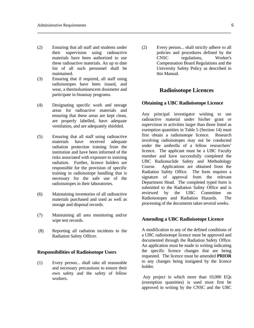(2) Ensuring that all staff and students under their supervision using radioactive materials have been authorized to use these radioactive materials. An up to date list of all such personnel shall be maintained.

\_\_\_\_\_\_\_\_\_\_\_\_\_\_\_\_\_\_\_\_\_\_\_\_\_\_\_\_\_\_\_\_\_\_\_\_\_\_\_\_\_\_\_\_\_\_\_\_\_\_\_\_\_\_\_\_\_\_\_\_\_\_\_\_\_\_\_\_\_\_

- (3) Ensuring that if required, all staff using radioisotopes have been issued, and wear, a thermoluminescent dosimeter and participate in bioassay programs.
- (4) Designating specific work and storage areas for radioactive materials and ensuring that these areas are kept clean, are properly labelled, have adequate ventilation, and are adequately shielded.
- (5) Ensuring that all staff using radioactive materials have received adequate radiation protection training from the institution and have been informed of the risks associated with exposure to ionizing radiation. Further, licence holders are responsible for the provision of specific training in radioisotope handling that is necessary for the safe use of the radioisotopes in their laboratories.
- (6) Maintaining inventories of all radioactive materials purchased and used as well as storage and disposal records.
- (7) Maintaining all area monitoring and/or wipe test records.
- (8) Reporting all radiation incidents to the Radiation Safety Officer.

#### **Responsibilities of Radioisotope Users**

(1) Every person... shall take all reasonable and necessary precautions to ensure their own safety and the safety of fellow workers.

(2) Every person... shall strictly adhere to all policies and procedures defined by the CNSC regulations, Worker's Compensation Board Regulations and the University Safety Policy as described in this Manual.

## **Radioisotope Licences**

#### **Obtaining a UBC Radioisotope Licence**

Any principal investigator wishing to use radioactive material under his/her grant or supervision in activities larger than those listed as exemption quantities in Table 5 (Section 14) must first obtain a radioisotope licence. Research involving radioisotopes may not be conducted under the umbrella of a fellow researchers' licence. The applicant must be a UBC Faculty member and have successfully completed the UBC Radionuclide Safety and Methodology Course. Applications are obtained from the Radiation Safety Office. The form requires a signature of approval from the relevant Department Head. The completed typed form is submitted to the Radiation Safety Office and is reviewed by the UBC Committee on Radioisotopes and Radiation Hazards. The processing of the documents takes several weeks.

#### **Amending a UBC Radioisotope Licence**

A modification to any of the defined conditions of a UBC radioisotope licence must be approved and documented through the Radiation Safety Office. An application must be made in writing indicating the specific licence changes that are being requested. The licence must be amended **PRIOR** to any changes being instigated by the licence holder.

 Any project in which more than 10,000 EQs (exemption quantities) is used must first be approved in writing by the CNSC and the UBC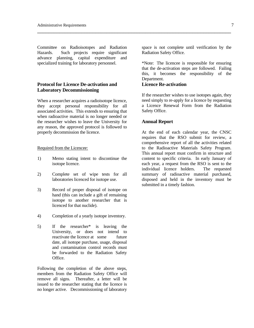Committee on Radioisotopes and Radiation Hazards. Such projects require significant advance planning, capital expenditure and specialized training for laboratory personnel.

#### **Protocol for Licence De-activation and Laboratory Decommissioning**

When a researcher acquires a radioisotope licence, they accept personal responsibility for all associated activities. This extends to ensuring that when radioactive material is no longer needed or the researcher wishes to leave the University for any reason, the approved protocol is followed to properly decommission the licence.

#### Required from the Licencee:

- 1) Memo stating intent to discontinue the isotope licence.
- 2) Complete set of wipe tests for all laboratories licenced for isotope use.
- 3) Record of proper disposal of isotope on hand (this can include a gift of remaining isotope to another researcher that is licenced for that nuclide).
- 4) Completion of a yearly isotope inventory.
- 5) If the researcher\* is leaving the University, or does not intend to reactivate the licence at some future date, all isotope purchase, usage, disposal and contamination control records must be forwarded to the Radiation Safety Office.

Following the completion of the above steps, members from the Radiation Safety Office will remove all signs. Thereafter, a letter will be issued to the researcher stating that the licence is no longer active. Decommissioning of laboratory

space is not complete until verification by the Radiation Safety Office.

\*Note: The licencee is responsible for ensuring that the de-activation steps are followed. Failing this, it becomes the responsibility of the Department.

#### **Licence Re-activation**

\_\_\_\_\_\_\_\_\_\_\_\_\_\_\_\_\_\_\_\_\_\_\_\_\_\_\_\_\_\_\_\_\_\_\_\_\_\_\_\_\_\_\_\_\_\_\_\_\_\_\_\_\_\_\_\_\_\_\_\_\_\_\_\_\_\_\_\_\_\_

If the researcher wishes to use isotopes again, they need simply to re-apply for a licence by requesting a Licence Renewal Form from the Radiation Safety Office.

#### **Annual Report**

At the end of each calendar year, the CNSC requires that the RSO submit for review, a comprehensive report of all the activities related to the Radioactive Materials Safety Program. This annual report must confirm in structure and content to specific criteria. In early January of each year, a request from the RSO is sent to the individual licence holders. The requested summary of radioactive material purchased, disposed and held in the inventory must be submitted in a timely fashion.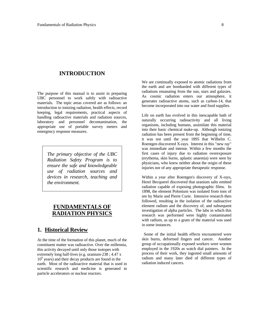#### **INTRODUCTION**

The purpose of this manual is to assist in preparing UBC personnel to work safely with radioactive materials. The topic areas covered are as follows: an introduction to ionizing radiation, health effects, record keeping, legal requirements, practical aspects of handling radioactive materials and radiation sources, laboratory and personnel decontamination, the appropriate use of portable survey meters and emergency response measures.

> *The primary objective of the UBC Radiation Safety Program is to ensure the safe and knowledgeable use of radiation sources and devices in research, teaching and the environment.*

## **FUNDAMENTALS OF RADIATION PHYSIC**

#### **1. Historical Review**

At the time of the formation of this planet, much of the constituent matter was radioactive. Over the millennia, this activity decayed until only those isotopes with extremely long half-lives (e.g. uranium-238 ; 4.47 x 109 years) and their decay products are found in the earth. Most of the radioactive material that is used in scientific research and medicine is generated in particle accelerators or nuclear reactors.

We are continually exposed to atomic radiations from the earth and are bombarded with different types of radiations emanating from the sun, stars and galaxies. As cosmic radiation enters our atmosphere, it generates radioactive atoms, such as carbon-14, that become incorporated into our water and food supplies.

Life on earth has evolved in this inescapable bath of naturally occurring radioactivity and all living organisms, including humans, assimilate this material into their basic chemical make-up. Although ionizing radiation has been present from the beginning of time, it was not until the year 1895 that Wilhelm C. Roentgen discovered X-rays. Interest in this "new ray" was immediate and intense. Within a few months the first cases of injury due to radiation overexposure (erythema, skin burns, aplastic anaemia) were seen by physicians, who knew neither about the origin of these injuries nor of any appropriate therapeutic response.

Within a year after Roentgen's discovery of X-rays, Henri Becquerel discovered that uranium salts emitted radiation capable of exposing photographic films. In 1898, the element Polonium was isolated from tons of ore by Marie and Pierre Curie. Intensive research then followed, resulting in the isolation of the radioactive element radium and the discovery of, and subsequent investigation of alpha particles. The labs in which this research was performed were highly contaminated with radium, as up to a gram of the material was used in some instances.

 Some of the initial health effects encountered were skin burns, deformed fingers and cancer. Another group of occupationally exposed workers were women employed in the 1920s as watch dial painters. In the process of their work, they ingested small amounts of radium and many later died of different types of radiation induced cancers.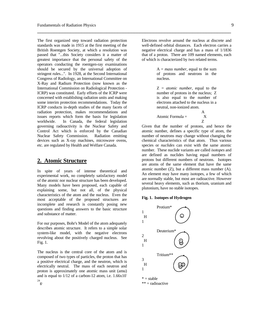The first organized step toward radiation protection standards was made in 1915 at the first meeting of the British Roentgen Society, at which a resolution was passed that "...this Society considers it a matter of greatest importance that the personal safety of the operators conducting the roentgen-ray examinations should be secured by the universal adoption of stringent rules...". In 1928, at the Second International Congress of Radiology, an International Committee on X-Ray and Radium Protection (now known as the International Commission on Radiological Protection - ICRP) was constituted. Early efforts of the ICRP were concerned with establishing radiation units and making some interim protection recommendations. Today the ICRP conducts in-depth studies of the many facets of radiation protection, makes recommendations and issues reports which form the basis for legislation worldwide. In Canada, the federal legislation governing radioactivity is the Nuclear Safety and Control Act which is enforced by the Canadian Nuclear Safety Commission. Radiation emitting devices such as X-ray machines, microwave ovens, etc. are regulated by Health and Welfare Canada.

#### **2. Atomic Structure**

In spite of years of intense theoretical and experimental work, no completely satisfactory model of the atomic nor nuclear structure has been developed. Many models have been proposed, each capable of explaining some, but not all, of the physical characteristics of the atom and the nucleus. Even the most acceptable of the proposed structures are incomplete and research is constantly posing new questions and finding answers to the basic structure and substance of matter.

For our purposes, Bohr's Model of the atom adequately describes atomic structure. It refers to a simple solar system-like model, with the negative electrons revolving about the positively charged nucleus. See Fig. 1.

The nucleus is the central core of the atom and is composed of two types of particles, the proton that has a positive electrical charge, and the neutron, which is electrically neutral. The mass of each neutron and proton is approximately one atomic mass unit (amu) and is equal to 1/12 of a carbon-12 atom, i.e. 1.66x10- 24 g.

Electrons revolve around the nucleus at discrete and well-defined orbital distances. Each electron carries a negative electrical charge and has a mass of 1/1836 that of a proton. There are 109 named elements, each of which is characterized by two related terms.

\_\_\_\_\_\_\_\_\_\_\_\_\_\_\_\_\_\_\_\_\_\_\_\_\_\_\_\_\_\_\_\_\_\_\_\_\_\_\_\_\_\_\_\_\_\_\_\_\_\_\_\_\_\_\_\_\_\_\_\_\_\_\_\_\_\_\_\_\_\_

 $A = mass number$ , equal to the sum of protons and neutrons in the nucleus.

 Z = *atomic number*, equal to the number of protons in the nucleus; Z is also equal to the number of electrons attached to the nucleus in a neutral, non-ionized atom.

 A Atomic Formula  $=$   $X$ z za zaporadni za zaporadni za zaporadni za zaporadni za zaporadni za zaporadni za zaporadni zaporadni za zapor

Given that the number of protons, and hence the atomic number, defines a specific type of atom, the number of neutrons may change without changing the chemical characteristics of that atom. Thus various species or *nuclides* can exist with the same atomic number. These nuclide variants are called *isotopes* and are defined as nuclides having equal numbers of protons but different numbers of neutrons. Isotopes are atoms of the same element that have the same atomic number  $(Z)$ , but a different mass number  $(A)$ . An element may have many isotopes, a few of which are normally stable, but most are radioactive. However several heavy elements, such as thorium, uranium and plutonium, have no stable isotopes.

#### **Fig. 1. Isotopes of Hydrogen**

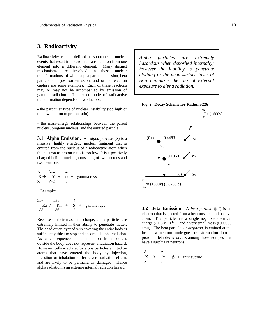# **3. Radioactivity**

Radioactivity can be defined as spontaneous nuclear events that result in the atomic transmutation from one element into a different element. Many distinct mechanisms are involved in these nuclear transformations, of which alpha particle emission, beta particle and positron emission, and orbital electron capture are some examples. Each of these reactions may or may not be accompanied by emission of gamma radiation. The exact mode of radioactive transformation depends on two factors:

- the particular type of nuclear instability (too high or too low neutron to proton ratio).

- the mass-energy relationships between the parent nucleus, progeny nucleus, and the emitted particle.

**3.1 Alpha Emission.** An *alpha particle* (α) is a massive, highly energetic nuclear fragment that is emitted from the nucleus of a radioactive atom when the neutron to proton ratio is too low. It is a positively charged helium nucleus, consisting of two protons and two neutrons.

A A-4 4  
\n
$$
X \rightarrow Y + \alpha + \text{gamma}
$$

Example:

$$
\begin{array}{cccc}\n226 & 222 & 4 \\
Ra \rightarrow Rh + \alpha + ganma rays \\
88 & 86 & 2\n\end{array}
$$

Because of their mass and charge, alpha particles are extremely limited in their ability to penetrate matter. The dead outer layer of skin covering the entire body is sufficiently thick to stop and absorb all alpha radiation. As a consequence, alpha radiation from sources outside the body does not represent a radiation hazard. However, cells irradiated by alpha particles emitted by atoms that have entered the body by injection, ingestion or inhalation suffer severe radiation effects and are likely to be permanently damaged. Hence alpha radiation is an extreme internal radiation hazard.

*Alpha particles are extremely hazardous when deposited internally; however the inability to penetrate clothing or the dead surface layer of skin minimizes the risk of external exposure to alpha radiation.* 

\_\_\_\_\_\_\_\_\_\_\_\_\_\_\_\_\_\_\_\_\_\_\_\_\_\_\_\_\_\_\_\_\_\_\_\_\_\_\_\_\_\_\_\_\_\_\_\_\_\_\_\_\_\_\_\_\_\_\_\_\_\_\_\_\_\_\_\_\_\_





**3.2 Beta Emission.** A *beta particle* (β -) is an electron that is ejected from a beta-unstable radioactive atom. The particle has a single negative electrical charge (-  $1.6 \times 10^{-19}$ C) and a very small mass (0.00055 amu). The beta particle, or *negatron*, is emitted at the instant a neutron undergoes transformation into a proton. Beta decay occurs among those isotopes that have a surplus of neutrons.

$$
\begin{array}{ccc}A & A\\ X & \!\!\!\! > & Y \!\!\!\! > & \!\!\!\! > & \!\!\!\! Y+ \beta^{\text{-}} + \text{ antineutrino}\\ Z & Z\!\!\!\! > & \!\!\!\! 1 \end{array}
$$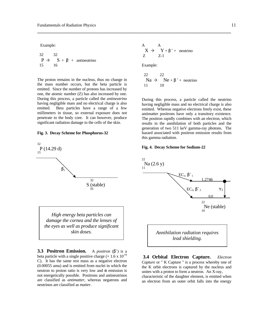Example:

$$
\begin{array}{ccc} 32 & 32 \\ P \rightarrow & S + \beta^{\cdot} + \text{ antineutrino} \\ 15 & 16 \end{array}
$$

The proton remains in the nucleus, thus no change in the mass number occurs, but the beta particle is emitted. Since the number of protons has increased by one, the atomic number (Z) has also increased by one. During this process, a particle called the *antineutrino* having negligible mass and no electrical charge is also emitted. Beta particles have a range of a few millimeters in tissue, so external exposure does not penetrate to the body core. It can however, produce significant radiation damage to the cells of the skin.

#### **Fig. 3. Decay Scheme for Phosphorus-32**



**3.3 Positron Emission.** A *positron*  $(\beta^+)$  is a beta particle with a single positive charge  $(+ 1.6 \times 10^{-19})$ C). It has the same rest mass as a negative electron (0.00055 amu) and is emitted from nuclei in which the neutron to proton ratio is very low and  $\alpha$  emission is not energetically possible. Positrons and antineutrinos are classified as *antimatter*, whereas negatrons and neutrinos are classified as *matter*.

$$
\begin{array}{ccc}A & A \\X \rightarrow & Y+\beta^+ + \text{ neutrino} \\Z & Z\text{-}1 \end{array}
$$

Example:

\_\_\_\_\_\_\_\_\_\_\_\_\_\_\_\_\_\_\_\_\_\_\_\_\_\_\_\_\_\_\_\_\_\_\_\_\_\_\_\_\_\_\_\_\_\_\_\_\_\_\_\_\_\_\_\_\_\_\_\_\_\_\_\_\_\_\_\_\_\_

$$
22 \t\t 22
$$
\n
$$
Na \rightarrow Ne + \beta^+ + neutrino
$$
\n
$$
11 \t\t 10
$$

During this process, a particle called the neutrino having negligible mass and no electrical charge is also emitted. Whereas negative electrons freely exist, these antimatter positrons have only a transitory existence. The positron rapidly combines with an electron, which results in the annihilation of both particles and the generation of two 511 keV gamma-ray photons. The hazard associated with positron emission results from this gamma radiation.

#### **Fig. 4. Decay Scheme for Sodium-22**



**3.4 Orbital Electron Capture.** *Electron Capture* or " K Capture " is a process whereby one of the K orbit electrons is captured by the nucleus and unites with a proton to form a neutron. An X-ray, characteristic of the daughter element, is emitted when an electron from an outer orbit falls into the energy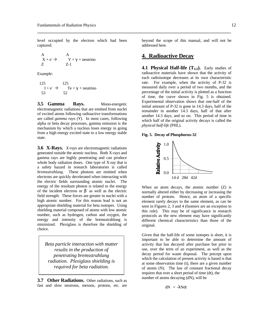level occupied by the electron which had been captured.

A  
\n
$$
X + e^ \rightarrow
$$
 A  
\n $Y + Y + neutrino$   
\nZ-1

Example:

125  
\n
$$
I + e^- \rightarrow
$$
 Te +  $\gamma$  + neutrino  
\n53 52

**3.5 Gamma Rays.** Mono-energetic electromagnetic radiations that are emitted from nuclei of excited atoms following radioactive transformations are called *gamma rays* (Υ). In most cases, following alpha or beta decay processes, gamma emission is the mechanism by which a nucleus loses energy in going from a high energy excited state to a low energy stable state.

**3.6 X-Rays.** *X-rays* are electromagnetic radiations generated outside the atomic nucleus. Both X-rays and gamma rays are highly penetrating and can produce whole body radiation doses. One type of X-ray that is a safety hazard in research laboratories is called *bremsstrahlung*. These photons are emitted when electrons are quickly decelerated when interacting with the electric fields surrounding atomic nuclei. The energy of the resultant photon is related to the energy of the incident electron or  $\beta$ <sup>-</sup> as well as the electric field strength. These forces are greater in nuclei with a high atomic number. For this reason lead is not an appropriate shielding material for beta isotopes. Using shielding material composed of atoms with low atomic number, such as hydrogen, carbon and oxygen, the energy and intensity of the bremsstrahlung is minimized. Plexiglass is therefore the shielding of choice.

*Beta particle interaction with matter results in the production of penetrating bremsstrahlung radiation. Plexiglass shielding is required for beta radiation.* 

**3.7 Other Radiations.** Other radiations, such as fast and slow neutrons, mesons, protons, etc. are beyond the scope of this manual, and will not be addressed here.

#### **4. Radioactive Decay**

\_\_\_\_\_\_\_\_\_\_\_\_\_\_\_\_\_\_\_\_\_\_\_\_\_\_\_\_\_\_\_\_\_\_\_\_\_\_\_\_\_\_\_\_\_\_\_\_\_\_\_\_\_\_\_\_\_\_\_\_\_\_\_\_\_\_\_\_\_\_

**4.1 Physical Half-life**  $(T_{1/2})$ **.** Early studies of radioactive materials have shown that the activity of each radioisotope decreases at its own characteristic rate. For example, when the activity of P-32 is measured daily over a period of two months, and the percentage of the initial activity is plotted as a function of time, the curve shown in Fig. 5 is obtained. Experimental observation shows that one-half of the initial amount of P-32 is gone in 14.3 days, half of the remainder in another 14.3 days, half of that after another 14.3 days, and so on. This period of time in which half of the original activity decays is called the *physical half-life* (PHL).

#### **Fig. 5. Decay of Phosphorus-32**



When an atom decays, the atomic number (Z) is normally altered either by decreasing or increasing the number of protons. Hence, an atom of a specific element rarely decays to the same element, as can be seen in Figures 2, 3 and 4 (Isomers are an exception to this rule). This may be of significance in research protocols as the new element may have significantly different chemical characteristics than those of the original.

Given that the half-life of some isotopes is short, it is important to be able to determine the amount of activity that has decayed after purchase but prior to use, over the term of an experiment, as well as the decay period for waste disposal. The precept upon which the calculation of present activity is based is that at some observation time (t), there are a given number of atoms (N). The law of constant fractional decay requires that over a short period of time (dt), the number of atoms decaying (dN), will be

dN = -λNdt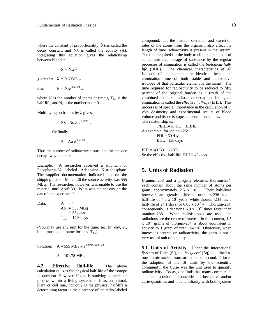where the constant of proportionality  $(\lambda)$ , is called the decay constant and  $N\lambda$  is called the activity (A). Integrating this equation gives the relationship between N and t:

$$
N = N_0 e^{-\lambda^t}
$$

given that  $\lambda = 0.693/T_{1/2}$ 

then  $N = N_0 e^{-0.693t/T_{1/2}}$ 

where N is the number of atoms at time t,  $T_{1/2}$  is the half-life, and  $N_0$  is the number at  $t = 0$ .

Multiplying both sides by  $\lambda$  gives:

$$
N\lambda = No \lambda e^{-0.693t/T}
$$

Or finally

$$
A = Ao e^{-0.693t/T}
$$
<sub>1/2</sub>

Thus the number of radioactive atoms, and the activity decay away together.

Example: A researcher received a shipment of Phosphorus-32 labeled Adenosine 5'-triphosphate. The supplier documentation indicated that on the shipping date of March 26 the source activity was 555 MBq. The researcher, however, was unable to use the material until April 30. What was the activity on the day of the experiment?

Data:  $A = ?$ 

$$
Ao = 555 MBq\nt = 35 days\nT1/2 = 14.3 days
$$

(You may use any unit for the time: sec, hr, day, yr, but it must be the same for t and  $T_{1/2}$ ).

Solution: 
$$
A = 555 \text{ MBq x } e^{-0.693 \times 35d/14.3d}
$$

 $A = 101.78$  MBq

**4.2 Effective Half-life.** The above calculation utilizes the physical half-life of the isotope in question. However, if one is studying a particular process within a living system, such as an animal, plant or cell line, not only is the physical half-life a determining factor in the clearance of the radio-labeled

compound, but the natural secretion and excretion rates of the atoms from the organism also affect the length of time radioactivity is present in the system. The time required for the body to eliminate one-half of an administered dosage of substance by the regular processes of elimination is called the *biological halflife* (BHL). The chemical characteristics of all isotopes of an element are identical, hence the elimination time of both stable and radioactive isotopes of that particular element is the same. The time required for radioactivity to be reduced to fifty percent of the original burden as a result of the combined action of radioactive decay and biological elimination is called the *effective half-life* (EHL). This process is of special importance in the calculation of *in vivo* dosimetry and experimental results of blood volume and tissue isotope concentration studies. The relationship is:

 $1/EHL=1/PHL + 1/BHL$ An example, for iodine-125:  $PHL= 60$  days BHL= 138 days

\_\_\_\_\_\_\_\_\_\_\_\_\_\_\_\_\_\_\_\_\_\_\_\_\_\_\_\_\_\_\_\_\_\_\_\_\_\_\_\_\_\_\_\_\_\_\_\_\_\_\_\_\_\_\_\_\_\_\_\_\_\_\_\_\_\_\_\_\_\_

 $EHL=1/(1/60 + 1/138)$ So the effective half-life EHL= 42 days

#### **5. Units of Radiation**

Uranium-238 and a progeny element, thorium-234, each contain about the same number of atoms per gram, approximately 2.5 x  $10^{21}$ . Their half-lives however, are greatly different; uranium-238 has a half-life of  $4.5 \times 10^9$  years, while thorium-234 has a half-life of 24.1 days (or  $6.63 \times 10^{-2}$  y). Thorium-234, consequently, is decaying 6.8 x  $10^{10}$  times faster than uranium-238. When radioisotopes are used, the radiations are the centre of interest. In this context, 1.5  $x$  10<sup>-7</sup> grams of thorium-234 is about equivalent in activity to 1 gram of uranium-238. Obviously, when interest is centred on radioactivity, the gram is not a very useful unit of quantity.

**5.1 Units of Activity.** Under the International System of Units (SI), the *becquerel* (Bq) is defined as one atomic nuclear transformation per second. Prior to the adoption of the SI units by the scientific community, the Curie was the unit used to quantify radioactivity. Today, one finds that many commercial suppliers provide radionuclides in becquerel and/or curie quantities and thus familiarity with both systems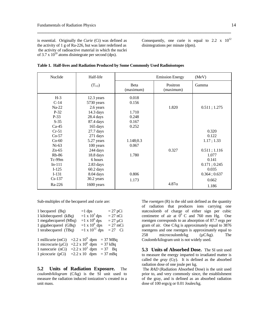l.

is essential. Originally the *Curie* (Ci) was defined as the activity of 1 g of Ra-226, but was later redefined as the activity of radioactive material in which the nuclei of 3.7 x  $10^{10}$  atoms disintegrate per second (dps).

Consequently, one curie is equal to  $2.2 \times 10^{12}$ disintegrations per minute (dpm).

| Nuclide                                                                     | Half-life                                                                                 |                                           | <b>Emission Energy</b> | (MeV)                                                                     |
|-----------------------------------------------------------------------------|-------------------------------------------------------------------------------------------|-------------------------------------------|------------------------|---------------------------------------------------------------------------|
|                                                                             | $(T_{1/2})$                                                                               | Beta<br>(maximum)                         | Positron<br>(maximum)  | Gamma                                                                     |
| $H-3$<br>$C-14$<br>$Na-22$<br>$P-32$<br>$P-33$<br>$S-35$                    | 12.3 years<br>5730 years<br>2.6 years<br>14.3 days<br>28.4 days<br>87.4 days              | 0.018<br>0.156<br>1.710<br>0.248<br>0.167 | 1.820                  | 0.511; 1.275                                                              |
| $Ca-45$<br>$Cr-51$<br>$Co-57$<br>$Co-60$<br>$Ni-63$<br>$Zn-65$              | 165 days<br>$27.7$ days<br>271 days<br>5.27 years<br>100 years<br>244 days                | 0.252<br>1.148;0.3<br>0.067               | 0.327                  | 0.320<br>0.122<br>1.17; 1.33<br>0.511; 1.116                              |
| $Rb-86$<br>$Tc-99m$<br>$In-111$<br>$I-125$<br>$I-131$<br>$Cs-137$<br>Ra-226 | 18.8 days<br>6 hours<br>2.83 days<br>$60.2$ days<br>8.04 days<br>30.2 years<br>1600 years | 1.780<br>0.806<br>1.173                   | $4.87\alpha$           | 1.077<br>0.141<br>0.171; 0.245<br>0.035<br>0.364; 0.637<br>0.662<br>1.186 |

\_\_\_\_\_\_\_\_\_\_\_\_\_\_\_\_\_\_\_\_\_\_\_\_\_\_\_\_\_\_\_\_\_\_\_\_\_\_\_\_\_\_\_\_\_\_\_\_\_\_\_\_\_\_\_\_\_\_\_\_\_\_\_\_\_\_\_\_\_\_

**Table 1. Half-lives and Radiation Produced by Some Commonly Used Radioisotopes**

Sub-multiples of the becquerel and curie are:

| 1 becquerel $(Bq)$    |                        | $=1$ dps                |            | $= 27$ pCi    |  |
|-----------------------|------------------------|-------------------------|------------|---------------|--|
| 1 kilobecquerel (kBq) |                        | $=1 \times 10^3$ dps    |            | $= 27$ nCi    |  |
| 1 megabecquerel (Mbq) |                        | $=1 \times 10^6$ dps    |            | $= 27 \mu Ci$ |  |
| 1 gigabecquerel (GBq) |                        | $=1 \times 10^9$ dps    |            | $= 27$ mCi    |  |
| 1 terabecquerel (TBq) |                        | $=1 \times 10^{12}$ dps |            | $= 27$ Ci     |  |
|                       |                        |                         |            |               |  |
| 1 millicurie (mCi)    | $=2.2 \times 10^9$ dpm |                         | $=$ 37 MBq |               |  |
| 1 microcurie (µCi)    | $=2.2 \times 10^6$ dpm |                         | $=$ 37 kBq |               |  |
| 1 nanocurie (nCi)     | $=2.2 \times 10^3$ dpm |                         | $= 37$ Bq  |               |  |
| 1 picocurie (pCi)     | $=2.2 \times 10$ dpm   |                         | $=$ 37 mBq |               |  |

**5.2 Units of Radiation Exposure.** The *coulomb/kilogram* (C/kg) is the SI unit used to measure the radiation induced ionization's created in a unit mass.

The *roentgen* (R) is the old unit defined as the quantity of radiation that produces ions carrying one statcoulomb of charge of either sign per cubic centimetre of air at  $0^0$  C and 760 mm Hg. One roentgen corresponds to an absorption of 87.7 ergs per gram of air. One C/kg is approximately equal to 3876 roentgens and one roentgen is approximately equal to 258 microcoulomb/kg ( $\mu$ C/kg). The Coulomb/kilogram unit is not widely used.

**5.3 Units of Absorbed Dose.** The SI unit used to measure the energy imparted to irradiated matter is called the *gray* (Gy). It is defined as the absorbed radiation dose of one joule per kg.

 The *RAD* (Radiation Absorbed Dose) is the unit used prior to, and very commonly since, the establishment of the gray, and is defined as an absorbed radiation dose of 100 ergs/g or 0.01 Joules/kg.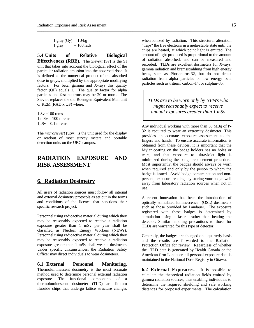1 gray  $(Gy) = 1$  J/kg  $1 \text{ gray} = 100 \text{ rads}$ 

**5.4 Units of Relative Biological Effectiveness (RBE).** The *Sievert* (Sv) is the SI unit that takes into account the biological effect of the particular radiation emission into the absorbed dose. It is defined as the numerical product of the absorbed dose in grays, multiplied by the appropriate modifying factors. For beta, gamma and X-rays this quality factor (QF) equals 1. The quality factor for alpha particles and fast neutrons may be 20 or more. The Sievert replaces the old Roentgen Equivalent Man unit or REM (RAD x QF) where:

 $1 Sv = 100 rems$  $1 \text{ mSv} = 100 \text{ mrems}$  $1\mu Sv = 0.1$  mrems

The *microsievert* (uSv) is the unit used for the display or readout of most survey meters and portable detection units on the UBC campus.

# **RADIATION EXPOSURE AND RISK ASSESSMENT**

#### **6. Radiation Dosimetry**

All users of radiation sources must follow all internal and external dosimetry protocols as set out in the terms and conditions of the licence that sanctions their specific research project.

Personnel using radioactive material during which they may be reasonably expected to receive a radiation exposure greater than 1 mSv per year shall be classified as Nuclear Energy Workers (NEWs). Personnel using radioactive material during which they may be reasonably expected to receive a radiation exposure greater than 1 mSv shall wear a dosimeter. Under specific circumstances, the Radiation Safety Officer may direct individuals to wear dosimeters.

**6.1 External Personnel Monitoring.** Thermoluminescent dosimetry is the most accurate method used to determine personal external radiation exposure. The functional components of a thermoluminescent dosimeter (TLD) are lithium fluoride chips that undergo lattice structure changes

when ionized by radiation. This structural alteration "traps" the free electrons in a meta-stable state until the chips are heated, at which point light is emitted. The amount of light produced is proportional to the amount of radiation absorbed, and can be measured and recorded. TLDs are excellent dosimeters for X-rays, gamma radiation and bremsstrahlung from high energy betas, such as Phosphorus-32, but do not detect radiation from alpha particles or low energy beta particles such as tritium, carbon-14, or sulphur-35.

\_\_\_\_\_\_\_\_\_\_\_\_\_\_\_\_\_\_\_\_\_\_\_\_\_\_\_\_\_\_\_\_\_\_\_\_\_\_\_\_\_\_\_\_\_\_\_\_\_\_\_\_\_\_\_\_\_\_\_\_\_\_\_\_\_\_\_\_\_\_\_\_\_\_\_\_\_\_\_\_\_\_\_\_\_\_\_\_\_\_\_\_\_

*TLDs are to be worn only by NEWs who might reasonably expect to receive annual exposures greater than 1 mSv* 

Any individual working with more than 50 MBq of P-32 is required to wear an extremity dosimeter. This provides an accurate exposure assessment to the fingers and hands. To ensure accurate information is obtained from these devices, it is important that the Mylar coating on the badge holders has no holes or tears, and that exposure to ultraviolet light is minimized during the badge replacement procedure. Most importantly, the badges should always be worn when required and only by the person to whom the badge is issued. Avoid badge contamination and nonpersonal exposure readings by storing your badge well away from laboratory radiation sources when not in use.

A recent innovation has been the introduction of optically stimulated luminescence (OSL) dosimeters such as those provided by Landauer. The exposure registered with these badges is determined by stimulation using a laser rather than heating the detector. Similar handling precautions to those for TLDs are warranted for this type of detector.

Generally, the badges are changed on a quarterly basis and the results are forwarded to the Radiation Protection Office for review. Regardless of whether the TLD data is generated by Health Canada or the American firm Landauer, all personal exposure data is maintained in the National Dose Registry in Ottawa.

**6.2 External Exposures.** It is possible to calculate the theoretical radiation fields emitted by gamma radiation sources, thus enabling individuals to determine the required shielding and safe working distances for proposed experiments. The calculation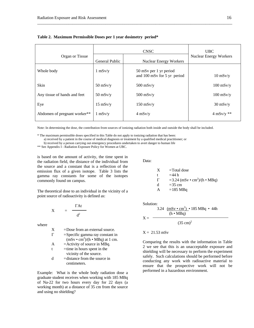| Organ or Tissue              | General Public     | <b>CNSC</b><br><b>Nuclear Energy Workers</b>          | <b>UBC</b><br><b>Nuclear Energy Workers</b> |
|------------------------------|--------------------|-------------------------------------------------------|---------------------------------------------|
| Whole body                   | $1$ mSv/ $v$       | 50 mSv per 1 yr period<br>and 100 mSv for 5 yr period | $10$ mSv/y                                  |
| Skin                         | $50$ mSv/y         | $500$ mSv/y                                           | $100$ mSv/y                                 |
| Any tissue of hands and feet | $50$ mSv/y         | $500$ mSv/y                                           | $100$ mSv/y                                 |
| Eye                          | $15 \text{ mSv/y}$ | $150$ mSv/y                                           | $30$ mSv/y                                  |
| Abdomen of pregnant worker** | $1 \text{ mSv/v}$  | $4$ mSv/y                                             | $4$ mSv/y $**$                              |

\_\_\_\_\_\_\_\_\_\_\_\_\_\_\_\_\_\_\_\_\_\_\_\_\_\_\_\_\_\_\_\_\_\_\_\_\_\_\_\_\_\_\_\_\_\_\_\_\_\_\_\_\_\_\_\_\_\_\_\_\_\_\_\_\_\_\_\_\_\_\_\_\_\_\_\_\_\_\_\_\_\_\_\_\_\_\_\_\_\_\_\_\_\_

#### **Table 2. Maximum Permissible Doses per 1 year dosimetry period\***

Note: In determining the dose, the contribution from sources of ionizing radiation both inside and outside the body shall be included.

\* The maximum permissible doses specified in this Table do not apply to ionizing radiation that has been:

a) received by a patient in the course of medical diagnosis or treatment by a qualified medical practitioner; or

b) received by a person carrying out emergency procedures undertaken to avert danger to human life

\*\* See Appendix I - Radiation Exposure Policy for Women at UBC.

is based on the amount of activity, the time spent in the radiation field, the distance of the individual from the source and a constant that is a reflection of the emission flux of a given isotope. Table 3 lists the gamma ray constants for some of the isotopes commonly found on campus.

The theoretical dose to an individual in the vicinity of a point source of radioactivity is defined as:

$$
X = \frac{\Gamma At}{d^2}
$$

where

| X | $=$ Dose from an external source.         |
|---|-------------------------------------------|
| Г | $=$ Specific gamma ray constant in        |
|   | $(mSv \cdot cm^2)/(h \cdot MBq)$ at 1 cm. |
| A | $=$ Activity of source in MBq.            |
| t | $=$ time in hours spent in the            |
|   | vicinity of the source.                   |
|   | $=$ distance from the source in           |

centimeters.

Example: What is the whole body radiation dose a graduate student receives when working with 185 MBq of Na-22 for two hours every day for 22 days (a working month) at a distance of 35 cm from the source and using no shielding?

Data:

X = Total dose  
\nt = 44 h  
\n
$$
\Gamma = 3.24 \text{ (mSv • cm}^2\text{)/(h • MBq)}
$$
\nd = 35 cm  
\nA = 185 MBq

Solution:

$$
X = \frac{3.24 \frac{(mSv \cdot cm^{2})}{(h \cdot MBq)} \cdot 185 MBq \cdot 44h}{(35 cm)^{2}}
$$

#### $X = 21.53$  mSv

Comparing the results with the information in Table 2 we see that this is an unacceptable exposure and shielding will be necessary to perform the experiment safely. Such calculations should be performed before conducting any work with radioactive material to ensure that the prospective work will not be performed in a hazardous environment.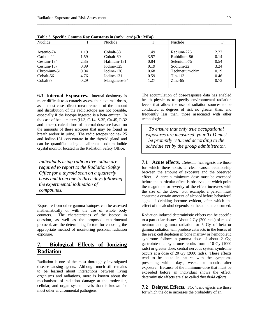| Nuclide              |      | Nuclide      |      | Nuclide        |      |
|----------------------|------|--------------|------|----------------|------|
|                      |      |              |      |                |      |
| Arsenic-74           | 1.19 | Cobalt-58    | 1.49 | Radium-226     | 2.23 |
| Carbon-11            | 1.59 | Cobalt-60    | 3.57 | Rubidium-86    | 0.14 |
| Cesium-134           | 2.35 | Hafnium-181  | 0.84 | Selenium-75    | 0.54 |
| Cesium-137           | 0.89 | Iodine-125   | 0.19 | Sodium-22      | 3.24 |
| Chromium-51          | 0.04 | Iodine-126   | 0.68 | Technetium-99m | 0.19 |
| Cobalt-56            | 4.76 | Iodine-131   | 0.59 | $Tin-113$      | 0.46 |
| Cobalt <sub>57</sub> | 0.29 | Manganese-54 | 1.27 | $Zinc-65$      | 0.73 |
|                      |      |              |      |                |      |

\_\_\_\_\_\_\_\_\_\_\_\_\_\_\_\_\_\_\_\_\_\_\_\_\_\_\_\_\_\_\_\_\_\_\_\_\_\_\_\_\_\_\_\_\_\_\_\_\_\_\_\_\_\_\_\_\_\_\_\_\_\_\_\_\_\_\_\_\_\_\_\_\_\_\_\_\_\_\_\_\_\_\_\_\_\_\_\_\_\_\_\_\_\_

**Table 3. Specific Gamma Ray Constants in**  $(mSv \cdot cm^2)/(h \cdot MBq)$ 

**6.3 Internal Exposures.** Internal dosimetry is more difficult to accurately assess than external doses, as in most cases direct measurements of the amount and distribution of the radioisotope are not possible, especially if the isotope ingested is a beta emitter. In the case of beta emitters (H-3, C-14, S-35, Ca-45, P-32 and others), calculations of internal dose are based on the amounts of these isotopes that may be found in breath and/or in urine. The radioisotopes iodine-125 and iodine-131 concentrate in the thyroid gland and can be quantified using a calibrated sodium iodide crystal monitor located in the Radiation Safety Office.

*Individuals using radioactive iodine are required to report to the Radiation Safety Office for a thyroid scan on a quarterly basis and from one to three days following the experimental iodination of compounds.*

Exposure from other gamma isotopes can be assessed mathematically or with the use of whole body counters. The characteristics of the isotope in question, as well as the proposed experimental protocol, are the determining factors for choosing the appropriate method of monitoring personal radiation exposure.

## **7. Biological Effects of Ionizing Radiation**

Radiation is one of the most thoroughly investigated disease causing agents. Although much still remains to be learned about interactions between living organisms and radiations, more is known about the mechanisms of radiation damage at the molecular, cellular, and organ system levels than is known for most other environmental pathogens.

The accumulation of dose-response data has enabled health physicists to specify environmental radiation levels that allow the use of radiation sources to be conducted at degrees of risk no greater than, and frequently less than, those associated with other technologies.

*To ensure that only true occupational exposures are measured, your TLD must be promptly returned according to the schedule set by the group administrator.* 

**7.1 Acute effects.** *Deterministic effects* are those for which there exists a clear causal relationship between the amount of exposure and the observed effect. A certain minimum dose must be exceeded before the particular effect is observed, at which point the magnitude or severity of the effect increases with the size of the dose. For example, a person must consume a certain amount of alcohol before behavioral signs of drinking become evident, after which the effect of the alcohol depends on the amount consumed.

Radiation induced deterministic effects can be specific to a particular tissue: About 2 Gy (200 rads) of mixed neutron and gamma radiation or 5 Gy of beta or gamma radiation will produce cataracts in the lenses of the eyes; cell depletion in bone marrow or hemopoietic syndrome follows a gamma dose of about 2 Gy; gastrointestinal syndrome results from a 10 Gy (1000 rads) or greater dose; central nervous system syndrome occurs at a dose of 20 Gy (2000 rads). These effects tend to be acute in nature, with the symptoms presenting within days, weeks or months after exposure. Because of the minimum-dose that must be exceeded before an individual shows the effect, deterministic effects are also called *threshold effects*.

**7.2 Delayed Effects.** *Stochastic effects* are those for which the dose increases the probability of an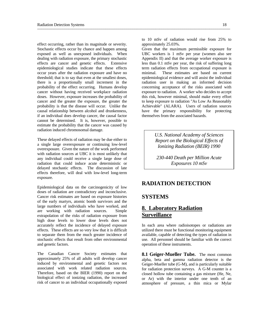effect occurring, rather than its magnitude or severity. Stochastic effects occur by chance and happen among exposed as well as unexposed individuals. When dealing with radiation exposure, the primary stochastic effects are cancer and genetic effects. Extensive epidemiological studies indicate that these effects occur years after the radiation exposure and have no threshold; that is to say that even at the smallest doses, there is a proportionally small increment in the probability of the effect occurring. Humans develop cancer without having received workplace radiation doses. However, exposure increases the probability of cancer and the greater the exposure, the greater the probability is that the disease will occur. Unlike the causal relationship between alcohol and drunkenness, if an individual does develop cancer, the causal factor cannot be determined. It is, however, possible to estimate the probability that the cancer was caused by radiation induced chromosomal damage.

These delayed effects of radiation may be due either to a single large overexposure or continuing low-level overexposure. Given the nature of the work performed with radiation sources at UBC it is most unlikely that any individual could receive a single large dose of radiation that could induce acute deterministic or delayed stochastic effects. The discussion of late effects therefore, will deal with low-level long-term exposure.

Epidemiological data on the carcinogenicity of low doses of radiation are contradictory and inconclusive. Cancer risk estimates are based on exposure histories of the early martyrs, atomic bomb survivors and the large numbers of individuals who have worked, and are working with radiation sources. Simple extrapolation of the risks of radiation exposure from high dose levels to lower dose levels does not accurately reflect the incidence of delayed exposure effects. These effects are so very low that it is difficult to separate them from the much greater incidence of stochastic effects that result from other environmental and genetic factors.

The Canadian Cancer Society estimates that approximately 25% of all adults will develop cancer induced by environmental and genetic factors not associated with work related radiation sources. Therefore, based on the BIER (1990) report on the biological effect of ionizing radiation, the increased risk of cancer to an individual occupationally exposed

to 10 mSv of radiation would rise from 25% to approximately 25.03%.

Given that the maximum permissible exposure for UBC workers is 1 mSv per year (women also see Appendix II) and that the average worker exposure is less than 0.1 mSv per year, the risk of suffering long term radiation effects from occupational exposure is minimal. These estimates are based on current epidemiological evidence and will assist the individual radiation user in making an informed decision concerning acceptance of the risks associated with exposure to radiation. A worker who decides to accept this risk, however minimal, should make every effort to keep exposure to radiation "As Low As Reasonably Achievable" (ALARA). Users of radiation sources have the primary responsibility for protecting themselves from the associated hazards.

> *U.S. National Academy of Sciences Report on the Biological Effects of Ionizing Radiation (BEIR) 1990*

*230-440 Death per Million Acute Exposures 10 mSv*

## **RADIATION DETECTION**

#### **SYSTEMS**

# **8. Laboratory Radiation Surveillance**

In each area where radioisotopes or radiations are utilized there must be functional monitoring equipment available, capable of detecting the types of radiation in use. All personnel should be familiar with the correct operation of these instruments.

**8.1 Geiger-Mueller Tube.** The most common alpha, beta and gamma radiation detector is the Geiger-Mueller tube (G-M), and is particularly suitable for radiation protection surveys. A G-M counter is a closed hollow tube containing a gas mixture (He, Ne, or Ar) with the interior under one tenth of an atmosphere of pressure, a thin mica or Mylar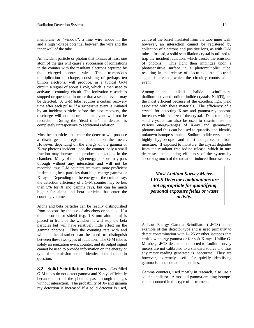membrane or "window", a fine wire anode in the centre of the barrel insulated from the tube inner wall, and a high voltage potential between the wire and the inner wall of the tube.

An incident particle or photon that ionizes at least one atom of the gas will cause a succession of ionizations in the counter with the resultant electrons captured by the charged centre wire This tremendous multiplication of charge, consisting of perhaps ten billion electrons, will produce, in a typical G-M circuit, a signal of about 1 volt, which is then used to activate a counting circuit. The ionization cascade is stopped or quenched in order that a second event may be detected. A G-M tube requires a certain recovery time after each pulse. If a successive event is initiated by an incident particle before the tube recovers, the discharge will not occur and the event will not be recorded. During the "dead time" the detector is completely unresponsive to additional radiation.

Most beta particles that enter the detector will produce a discharge and register a count on the meter. However, depending on the energy of the gamma or X-ray photons incident upon the counter, only a small fraction may interact and produce ionizations in the chamber. Many of the high energy photons may pass through without any interaction and will not be recorded, thus G-M counters are much more proficient in detecting beta particles than high energy gamma or X rays. Depending on the energy of the emitted ray, the detection efficiency of a G-M counter may be less than 5% for X and gamma rays, but can be much higher for alpha and beta particles that enter the counting volume.

Alpha and beta particles can be readily distinguished from photons by the use of absorbers or shields. If a thin absorber or shield (e.g. 1-3 mm aluminum) is placed in front of the window, it will stop the beta particles but will have relatively little effect on the gamma photons. Thus the counting rate with and without the absorber can be used to distinguish between these two types of radiation. The G-M tube is solely an ionization event counter, and its output signal cannot be used to provide information on the energy or type of the emission nor the identity of the isotope in question.

**8.2 Solid Scintillation Detectors.** Gas filled G-M tubes do not detect gamma and X-rays efficiently because most of the photons pass through the gas without interaction. The probability of X- and gamma ray detection is increased if a solid detector is used,

however, an interaction cannot be registered by collection of electrons and positive ions, as with G-M tubes. Instead, a solid scintillation crystal is utilized to trap the incident radiation, which causes the emission of photons. This light then impinges upon a photosensitive surface in a photomultiplier tube, resulting in the release of electrons. An electrical signal is created, which the circuitry counts as an event.

Among the alkali halide scintillators, thallium-activated sodium iodide crystals, NaI(Tl), are the most efficient because of the excellent light yield associated with these materials. The efficiency of a crystal for detecting X-ray and gamma-ray photons increases with the size of the crystal. Detectors using solid crystals can also be used to discriminate the various energy-ranges of X-ray and gamma-ray photons and thus can be used to quantify and identify unknown isotope samples. Sodium iodide crystals are highly hygroscopic and must be protected from moisture. If exposed to moisture, the crystal degrades from the resultant free iodine release, which in turn decreases the counting efficiency of the system by absorbing much of the radiation-induced fluorescence.

*Most Ludlum Survey Meter-LEGS Detector combinations are not appropriate for quantifying personal exposure fields or waste activity.* 

A Low Energy Gamma Scintillator (LEGS) is an example of this detector type and is used primarily to detect contamination with I-125 or other isotopes that emit low energy gamma or for soft X-rays. Unlike G-M tubes, LEGS detectors connected to Ludlum survey meters are not calibrated to a standard source and thus any meter reading generated is inaccurate. They are however, extremely useful for quickly identifying gamma isotope contamination sites.

Gamma counters, used mostly in research, also use a solid scintillator. Almost all gamma-emitting isotopes can be counted in this type of instrument.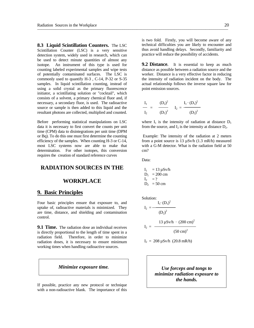**8.3 Liquid Scintillation Counters.** The LSC Scintillation Counter (LSC) is a very sensitive detection system, widely used in research, which can be used to detect minute quantities of almost any isotope. An instrument of this type is used for counting labeled experimental samples and wipe tests of potentially contaminated surfaces. The LSC is commonly used to quantify H-3 , C-14, P-32 or S-35 samples. In liquid scintillation counting, instead of using a solid crystal as the primary fluorescence initiator, a scintillating solution or "cocktail", which consists of a solvent, a primary chemical fluor and, if necessary, a secondary fluor, is used. The radioactive source or sample is then added to this liquid and the resultant photons are collected, multiplied and counted.

Before performing statistical manipulations on LSC data it is necessary to first convert the counts per unit time (CPM) data to disintegrations per unit time (DPM or Bq). To do this one must first determine the counting efficiency of the samples. When counting H-3 or C-14, most LSC systems now are able to make that determination. For other isotopes, this conversion requires the creation of standard reference curves

#### **RADIATION SOURCES IN THE**

#### **WORKPLACE**

#### **9. Basic Principles**

Four basic principles ensure that exposure to, and uptake of, radioactive materials is minimized. They are time, distance, and shielding and contamination control.

**9.1 Time.** The radiation dose an individual receives is directly proportional to the length of time spent in a radiation field. Therefore, in order to minimize radiation doses, it is necessary to ensure minimum working times when handling radioactive sources.

If possible, practice any new protocol or technique with a non-radioactive blank. The importance of this

is two fold. Firstly, you will become aware of any technical difficulties you are likely to encounter and thus avoid handling delays. Secondly, familiarity and practice will reduce the possibility of accidents.

**9.2 Distance.** It is essential to keep as much distance as possible between a radiation source and the worker. Distance is a very effective factor in reducing the intensity of radiation incident on the body. The actual relationship follows the inverse square law for point emission sources.

$$
\frac{I_1}{I_2} = \frac{(D_2)^2}{(D_1)^2} \qquad I_2 = \frac{I_1 \cdot (D_1)^2}{(D_2)^2}
$$

where  $I_1$  is the intensity of radiation at distance  $D_1$ from the source, and  $I_2$  is the intensity at distance  $D_2$ .

 Example: The intensity of the radiation at 2 meters from a point source is 13 µSv/h (1.3 mR/h) measured with a G-M detector. What is the radiation field at 50 cm?

Data:

$$
I_1 = 13 \mu Sv/h
$$
  
\n
$$
D_1 = 200 \text{ cm}
$$
  
\n
$$
I_2 = ?
$$
  
\n
$$
D_2 = 50 \text{ cm}
$$

Solution:

$$
I_2 = \frac{I_1 \cdot (D_1)^2}{(D_2)^2}
$$

$$
I_2 = \frac{13 \, \mu \text{Sv/h} \cdot (200 \, \text{cm})^2}{(50 \, \text{cm})^2}
$$

$$
I_2 = 208 \,\mu\text{Sv/h} \,\, (20.8 \,\text{mR/h})
$$

*Minimize exposure time. Use forceps and tongs to minimize radiation exposure to the hands.*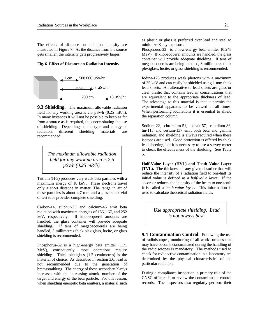The effects of distance on radiation intensity are illustrated in Figure 7. As the distance from the source gets smaller, the intensity gets progressively larger.

#### **Fig. 6 Effect of Distance on Radiation Intensity**



**9.3 Shielding.** The maximum allowable radiation field for any working area is  $2.5 \mu Sv/h$  (0.25 mR/h). In many instances it will not be possible to keep as far from a source as is required, thus necessitating the use of shielding. Depending on the type and energy of radiation, different shielding materials are recommended.

> *The maximum allowable radiation field for any working area is 2.5 µSv/h (0.25 mR/h).*

Tritium (H-3) produces very weak beta particles with a maximum energy of 18 keV. These electrons travel only a short distance in matter. The range in air of these particles is about 4.7 mm and a glass stock vial or test tube provides complete shielding.

Carbon-14, sulphur-35 and calcium-45 emit beta radiation with maximum energies of 156, 167, and 252 keV, respectively. If kilobecquerel amounts are handled, the glass container will provide adequate shielding. If tens of megabecquerels are being handled, 3 millimetres thick plexiglass, lucite, or glass shielding is recommended.

Phosphorus-32 is a high-energy beta emitter (1.71 MeV), consequently, most operations require shielding. Thick plexiglass (1.2 centimetres) is the material of choice. As described in section 3.6, lead is not recommended due to the generation of bremsstrahlung. The energy of these secondary X-rays increases with the increasing atomic number of the target and energy of the beta particle. For this reason, when shielding energetic beta emitters, a material such

as plastic or glass is preferred over lead and steel to minimize X-ray exposure.

Phosphorus-33 is a low-energy beta emitter (0.248 MeV). If kilobecquerel amounts are handled, the glass container will provide adequate shielding. If tens of megabecquerels are being handled, 3 millimetres thick plexiglass, lucite, or glass shielding is recommended.

Iodine-125 produces weak photons with a maximum of 35 keV and can easily be shielded using 1 mm thick lead sheets. An alternative to lead sheets are glass or clear plastic that contains lead in concentrations that are equivalent to the appropriate thickness of lead. The advantage to this material is that it permits the experimental apparatus to be viewed at all times. When performing iodinations it is essential to shield the separation column.

Sodium-22, chromium-51, cobalt-57, rubidium-86, tin-113 and cesium-137 emit both beta and gamma radiation, and shielding is always required when these isotopes are used. Good protection is offered by thick lead sheeting, but it is necessary to use a survey meter to check the effectiveness of the shielding. See Table 5.

**Half-Value Layer (HVL) and Tenth Value Layer (TVL).** The thickness of any given absorber that will reduce the intensity of a radiation field to one-half its initial value is defined as a *half-value layer*. If the absorber reduces the intensity of the beam to one-tenth it is called a *tenth-value layer*. This information is used to calculate theoretical radiation fields.

> *Use appropriate shielding. Lead is not always best.*

**9.4 Contamination Control**. Following the use of radioisotopes, monitoring of all work surfaces that may have become contaminated during the handling of the radioisotopes is mandatory. The methods used to check for radioactive contamination in a laboratory are determined by the physical characteristics of the particular radiation.

During a compliance inspection, a primary role of the CNSC officers is to review the contamination control records. The inspectors also regularly perform their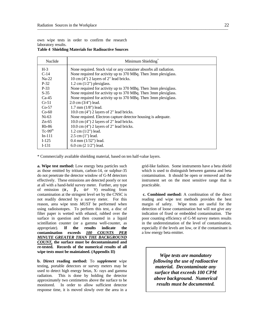own wipe tests in order to confirm the research laboratory results.

|  |  |  | <b>Table 4 Shielding Materials for Radioactive Sources</b> |
|--|--|--|------------------------------------------------------------|
|--|--|--|------------------------------------------------------------|

| Nuclide  | Minimum Shielding                                                 |
|----------|-------------------------------------------------------------------|
| $H-3$    | None required. Stock vial or any container absorbs all radiation. |
| $C-14$   | None required for activity up to 370 MBq. Then 3mm plexiglass.    |
| $Na-22$  | 10 cm (4") 2 layers of 2" lead bricks.                            |
| $P-32$   | $1.2$ cm $(1/2)$ plexiglass.                                      |
| $P-33$   | None required for activity up to 370 MBq. Then 3mm plexiglass.    |
| $S-35$   | None required for activity up to 370 MBq. Then 3mm plexiglass.    |
| $Ca-45$  | None required for activity up to 370 MBq. Then 3mm plexiglass.    |
| $Cr-51$  | $2.0 \text{ cm } (3/4")$ lead.                                    |
| $Co-57$  | $1.7$ mm $(1/8)$ lead.                                            |
| $Co-60$  | $10.0 \text{ cm}$ (4") 2 layers of 2" lead bricks.                |
| $Ni-63$  | None required. Electron capture detector housing is adequate.     |
| $Zn-65$  | $10.0 \text{ cm}$ (4") 2 layers of 2" lead bricks.                |
| $Rb-86$  | $10.0$ cm $(4")$ 2 layers of 2" lead bricks.                      |
| $Tc-99m$ | $1.2$ cm $(1/2")$ lead.                                           |
| $In-111$ | $2.5$ cm $(1")$ lead.                                             |
| $I-125$  | $0.4$ mm $(1/32)$ lead.                                           |
| $I-131$  | 6.0 cm $(21/2")$ lead.                                            |
|          |                                                                   |

\* Commercially available shielding material, based on ten half-value layers.

**a. Wipe test method:** Low energy beta particles such as those emitted by tritium, carbon-14, or sulphur-35 do not penetrate the detector window of G-M detectors effectively. These emissions are detected poorly or not at all with a hand-held survey meter. Further, any type of emission  $(\alpha, \beta, \text{or} \gamma)$  resulting from contamination at the stringent level set by the CNSC is not readily detected by a survey meter. For this reason, area wipe tests *MUST* be performed when using radioisotopes. To perform this test, a disc of filter paper is wetted with ethanol, rubbed over the surface in question and then counted in a liquid scintillation counter (or a gamma well-counter, as appropriate). **If the results indicate the contamination exceeds** *100 COUNTS PER MINUTE GREATER THAN THE BACKGROUND COUNT,* **the surface must be decontaminated and re-tested. Records of the numerical results of all wipe tests must be maintained. (Appendix II)**

**b. Direct reading method:** To *supplement* wipe testing, portable detectors or survey meters may be used to detect high energy betas, X- rays and gamma radiation. This is done by holding the detector approximately two centimetres above the surface to be monitored. In order to allow sufficient detector response time, it is moved slowly over the area in a

grid-like fashion. Some instruments have a beta shield which is used to distinguish between gamma and beta contamination. It should be open or removed and the instrument set on the most sensitive range that is practicable.

 **c. Combined method:** A combination of the direct reading and wipe test methods provides the best margin of safety. Wipe tests are useful for the detection of loose contamination but will not give any indication of fixed or embedded contamination. The poor counting efficiency of G-M survey meters results in the underestimation of the level of contamination, especially if the levels are low, or if the contaminant is a low energy beta emitter.

> *Wipe tests are mandatory following the use of radioactive material. Decontaminate any surface that exceeds 100 CPM above background. Numerical results must be documented.*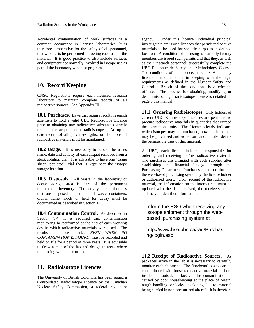Accidental contamination of work surfaces is a common occurrence in licensed laboratories. It is therefore imperative for the safety of all personnel, that wipe tests be performed following each use of the material. It is good practice to also include surfaces and equipment not normally involved in isotope use as part of the laboratory wipe test program.

#### **10. Record Keeping**

CNSC Regulations require each licensed research laboratory to maintain complete records of all radioactive sources. See Appendix III.

**10.1 Purchases.** Laws that require faculty research scientists to hold a valid UBC Radioisotope Licence prior to obtaining any radioactive substances strictly regulate the acquisition of radioisotopes. An up-todate record of all purchases, gifts, or donations of radioactive materials must be maintained.

**10.2 Usage.** It is necessary to record the user's name, date and activity of each aliquot removed from a stock solution vial. It is advisable to have one "usage sheet" per stock vial that is kept near the isotope storage location.

**10.3 Disposals.** All waste in the laboratory or decay storage area is part of the permanent radioisotope inventory. The activity of radioisotopes that are disposed into the solid waste containers, drains, fume hoods or held for decay must be documented as described in Section 14.3.

**10.4 Contamination Control.** As described in Section 9.4, it is required that contamination monitoring be performed at the end of each working day in which radioactive materials were used. The results of these checks, *EVEN WHEN NO CONTAMINATION IS FOUND*, must be recorded and held on file for a period of three years. It is advisable to draw a map of the lab and designate areas where monitoring will be performed.

#### **11. Radioisotope Licences**

The University of British Columbia has been issued a Consolidated Radioisotope Licence by the Canadian Nuclear Safety Commission, a federal regulatory

agency. Under this licence, individual principal investigators are issued licences that permit radioactive materials to be used for specific purposes in defined locations. A condition of licensing is that only faculty members are issued such permits and that they, as well as their research personnel, successfully complete the UBC Radionuclide Safety and Methodology Course. The conditions of the licence, appendix A and any licence amendments are in keeping with the legal requirements as defined in the Nuclear Safety and Control. Breech of the conditions is a criminal offense. The process for obtaining, modifying or decommissioning a radioisotope licence is detailed on page 6 this manual.

**11.1 Ordering Radioisotopes.** Only holders of current UBC Radioisotope Licences are permitted to procure radioactive materials in quantities that exceed the exemption limits. The Licence clearly indicates which isotopes may be purchased, how much isotope may be purchased and stored on hand. It also details the permissible uses of that material.

At UBC, each licence holder is responsible for ordering and receiving her/his radioactive material. The purchases are arranged with each supplier after establishing the financial linkage through the Purchasing Department. Purchases are made through the web-based purchasing system by the license holder or authorized users. Upon receipt of the radioactive material, the information on the internet site must be updated with the date received, the receivers name, and the vial identifier information.

Inform the RSO when receiving any isotope shipment through the webbased purchasing system at :

http://www.hse.ubc.ca/rad/Purchasi ng/login.asp

**11.2 Receipt of Radioactive Sources.** As packages arrive in the lab it is necessary to carefully monitor each shipment. The fibreboard boxes can be contaminated with loose radioactive material on both inside and outside surfaces. The contamination is caused by poor housekeeping at the place of origin, rough handling, or leaks developing due to material being carried in non-pressurized aircraft. It is therefore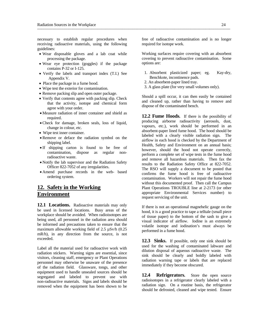necessary to establish regular procedures when receiving radioactive materials, using the following guidelines:

- Wear disposable gloves and a lab coat while processing the package.
- Wear eye protection (goggles) if the package contains P-32 or I-125.
- Verify the labels and transport index (T.I.) See Appendix V.
- Place the package in a fume hood.
- Wipe test the exterior for contamination.
- Remove packing slip and open outer package.
- Verify that contents agree with packing slip. Check that the activity, isotope and chemical form agree with your order.
- Measure radiation of inner container and shield as required.
- Check for damage, broken seals, loss of liquid, change in colour, etc.
- Wipe test inner container.
- Remove or deface the radiation symbol on the shipping label.
- If shipping carton is found to be free of contamination, dispose as regular nonradioactive waste.
- Notify the lab supervisor and the Radiation Safety Officer 822-7052 of any irregularities.
- Amend purchase records in the web- based ordering system.

# **12. Safety in the Working Environment**

12.1 Locations. Radioactive materials may only be used in licensed locations. Busy areas of the workplace should be avoided. When radioisotopes are being used, all personnel in the radiation area should be informed and precautions taken to ensure that the maximum allowable working field of 2.5  $\mu$ Sv/h (0.25) mR/h), in any direction from the source, is not exceeded.

Label all the material used for radioactive work with radiation stickers. Warning signs are essential, since visitors, cleaning staff, emergency or Plant Operations personnel may otherwise be unaware of the presence of the radiation field. Glassware, tongs, and other equipment used to handle unsealed sources should be segregated and labeled to prevent use with non-radioactive materials. Signs and labels should be removed when the equipment has been shown to be

free of radioactive contamination and is no longer required for isotope work.

Working surfaces require covering with an absorbent covering to prevent radioactive contamination. Some options are:

- 1. Absorbent plasticized paper; eg. Kay-dry, Benchkote, incontinence pads.
- 2. An absorbent-paper lined tray.
- 3. A glass plate (for very small volumes only).

Should a spill occur, it can then easily be contained and cleaned up, rather than having to remove and dispose of the contaminated bench.

**12.2 Fume Hoods.** If there is the possibility of producing airborne radioactivity (aerosols, dust, vapours, etc.), work should be performed in an absorbent-paper lined fume hood. The hood should be labeled with a clearly visible radiation sign. The airflow in each hood is checked by the Department of Health, Safety and Environment on an annual basis; however, should the hood not operate correctly, perform a complete set of wipe tests in the fume hood and remove all hazardous materials. Then fax the results to the Radiation Safety Office at 822-7052. The RSO will supply a document to be posted that confirms the fume hood is free of radioactive contamination. Workers will not repair the fume hood without this documented proof. Then call the Campus Plant Operations TROUBLE line at 2-2173 (or other appropriate Environmental Services number) to request servicing of the unit.

If there is not an operational magnehelic gauge on the hood, it is a good practice to tape a telltale (small piece of tissue paper) to the bottom of the sash to give a visual indicator of airflow. Iodine is an extremely volatile isotope and iodination's must always be performed in a fume hood.

**12.3 Sinks.** If possible, only one sink should be used for the washing of contaminated labware and dilution disposal of aqueous radioactive waste. The sink should be clearly and boldly labeled with radiation warning tape or labels that are replaced immediately if they become obscured.

12.4 **Refrigerators.** Store the open source radioisotopes in a refrigerator clearly labeled with a radiation sign. On a routine basis, the refrigerator should be defrosted, cleaned and wipe tested. Ensure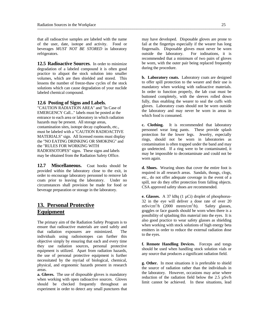that all radioactive samples are labeled with the name of the user, date, isotope and activity. Food or beverages *MUST NOT BE STORED* in laboratory refrigerators.

**12.5 Radioactive Sources.** In order to minimize degradation of a labeled compound it is often good practice to aliquot the stock solution into smaller volumes, which are then shielded and stored. This lessens the number of freeze-thaw cycles of the stock solutions which can cause degradation of your nuclide labeled chemical compound.

#### **12.6 Posting of Signs and Labels.**

"CAUTION RADIATION AREA" and "In Case of EMERGENCY Call..." labels must be posted at the entrance to each area or laboratory in which radiation hazards may be present. All storage areas, contamination sites, isotope decay cupboards, etc., must be labeled with a "CAUTION RADIOACTIVE MATERIALS" sign. All licensed rooms must display the "NO EATING DRINKING OR SMOKING" and the "RULES FOR WORKING WITH RADIOISOTOPES" signs. These signs and labels may be obtained from the Radiation Safety Office.

**12.7 Miscellaneous.** Coat hooks should be provided within the laboratory close to the exit, in order to encourage laboratory personnel to remove lab coats prior to leaving the laboratory. Under no circumstances shall provision be made for food or beverage preparation or storage in the laboratory.

# **13. Personal Protective Equipment**

The primary aim of the Radiation Safety Program is to ensure that radioactive materials are used safely and that radiation exposures are minimized. The individuals using radioisotopes can further this objective simply by ensuring that each and every time they use radiation sources, personal protective equipment is utilized. Apart from radiation hazards, the use of personal protective equipment is further necessitated by the myriad of biological, chemical, physical, and ergonomic hazards present in research areas.

**a. Gloves.** The use of disposable gloves is mandatory when working with open radioactive sources. Gloves should be checked frequently throughout an experiment in order to detect any small punctures that

may have developed. Disposable gloves are prone to fail at the fingertips especially if the wearer has long fingernails. Disposable gloves must never be worn outside the laboratory. For iodinations, it is recommended that a minimum of two pairs of gloves be worn, with the outer pair being replaced frequently during the procedure.

**b. Laboratory coats.** Laboratory coats are designed to offer spill protection to the wearer and their use is mandatory when working with radioactive materials. In order to function properly, the lab coat must be buttoned completely, with the sleeves rolled down fully, thus enabling the wearer to seal the cuffs with gloves. Laboratory coats should not be worn outside the laboratory and may never be worn in areas in which food is consumed.

**c. Clothing.** It is recommended that laboratory personnel wear long pants. These provide splash protection for the lower legs. Jewelry, especially rings, should not be worn in laboratories as contamination is often trapped under the band and may go undetected. If a ring were to be contaminated, it may be impossible to decontaminate and could not be worn again.

**d. Shoes.** Wearing shoes that cover the entire foot is required in all research areas. Sandals, thongs, clogs, etc., do not offer adequate coverage in the event of a spill, nor do they offer protection from falling objects. CSA approved safety shoes are recommended.

**e. Glasses.** A 37 kBq (1 µCi) droplet of phosphorus-32 in the eye will deliver a dose rate of over 20  $\text{mSv/cm}^2$ /h (2000 mrem/cm<sup>2</sup>) Safety glasses, goggles or face guards should be worn when there is a possibility of splashing this material into the eyes. It is also good practice to wear safety glasses as shielding when working with stock solutions of high energy beta emitters in order to reduce the external radiation dose to the eyes.

**f. Remote Handling Devices.** Forceps and tongs should be used when handling stock solution vials or any source that produces a significant radiation field.

**g. Other.** In most situations it is preferable to shield the source of radiation rather than the individuals in the laboratory. However, occasions may arise where reduction of the radiation field below the 2.5 µSv/h limit cannot be achieved. In these situations, lead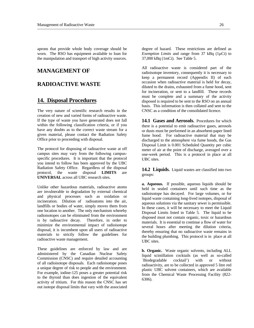aprons that provide whole body coverage should be worn. The RSO has equipment available to loan for the manipulation and transport of high activity sources.

#### **MANAGEMENT OF**

## **RADIOACTIVE WASTE**

#### **14. Disposal Procedures**

The very nature of scientific research results in the creation of new and varied forms of radioactive waste. If the type of waste you have generated does not fall within the following classification criteria, or if you have any doubts as to the correct waste stream for a given material, please contact the Radiation Safety Office prior to proceeding with disposal.

The protocol for disposing of radioactive waste at off campus sites may vary from the following campusspecific procedures. It is important that the protocol you intend to follow has been approved by the UBC Radiation Safety Office. Regardless of the disposal protocol, the waste disposal **LIMITS** are **UNIVERSAL** across all UBC research sites.

Unlike other hazardous materials, radioactive atoms are invulnerable to degradation by external chemical and physical processes such as oxidation or incineration. Dilution of radioatoms into the air, landfills or bodies of water, simply moves them from one location to another. The only mechanism whereby radioisotopes can be eliminated from the environment is by radioactive decay. Therefore, in order to minimize the environmental impact of radioisotope disposal, it is incumbent upon all users of radioactive materials to strictly follow the guidelines for radioactive waste management.

These guidelines are enforced by law and are administered by the Canadian Nuclear Safety Commission (CNSC) and require detailed accounting of all radioisotope disposals. Each radioisotope poses a unique degree of risk to people and the environment. For example, iodine-125 poses a greater potential risk to the thyroid than does ingestion of the equivalent activity of tritium. For this reason the CNSC has set out isotope disposal limits that vary with the associated

degree of hazard. These restrictions are defined as *Exemption Limits* and range from 37 kBq (1µCi) to 37,000 kBq (1mCi). See Table 5.

All radioactive waste is considered part of the radioisotope inventory, consequently it is necessary to keep a permanent record (Appendix II) of each occasion when radioactive material is held for decay, diluted to the drains, exhausted from a fume hood, sent for incineration, or sent to a landfill. These records must be complete and a summary of the activity disposed is required to be sent to the RSO on an annual basis. This information is then collated and sent to the CNSC as a condition of the consolidated licence.

14.1 Gases and Aerosols. Procedures for which there is a potential to emit radioactive gases, aerosols or dusts must be performed in an absorbent-paper lined fume hood. For radioactive material that may be discharged to the atmosphere via fume hoods, the Gas Disposal Limit is 0.001 Scheduled Quantity per cubic meter of air at the point of discharge, averaged over a one-week period. This is a protocol in place at all UBC sites.

**14.2 Liquids.** Liquid wastes are classified into two groups:

**a. Aqueous.** If possible, aqueous liquids should be held in sealed containers until such time as the radioisotope has decayed. For large volumes, or for liquid waste containing long-lived isotopes, disposal of aqueous solutions via the sanitary sewer is permissible. In these cases, it will be necessary to meet the Liquid Disposal Limits listed in Table 5. The liquid to be disposed must not contain organic, toxic or hazardous materials. It is essential to continue a flow of water for several hours after meeting the dilution criteria, thereby ensuring that no radioactive waste remains in the building plumbing. This protocol is in place at all UBC sites.

**b. Organic.** Waste organic solvents, including ALL liquid scintillation cocktails (as well as so-called `Biodegradable cocktail') with or without radioactivity, are to be collected in approved 5 litre red plastic UBC solvent containers, which are available from the Chemical Waste Processing Facility (822- 6306).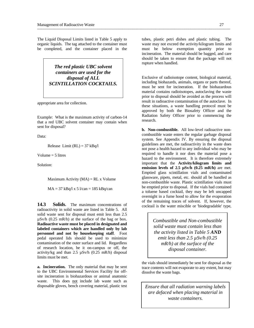The Liquid Disposal Limits listed in Table 5 apply to organic liquids. The tag attached to the container must be completed, and the container placed in the



appropriate area for collection.

Example: What is the maximum activity of carbon-14 that a red UBC solvent container may contain when sent for disposal?

Data:

Release Limit  $(RL) = 37$  kBq/l

Volume  $=$  5 litres

Solution:

Maximum Activity  $(MA) = RL \times Volume$ 

 $MA = 37$  kBq/l x 5 l/can = 185 kBq/can

**14.3 Solids.** The maximum concentrations of radioactivity in solid waste are listed in Table 5. All solid waste sent for disposal must emit less than 2.5  $\mu$ Sv/h (0.25 mR/h) at the surface of the bag or box. **Radioactive waste must be placed in designated and labeled containers which are handled only by lab personnel and not by housekeeping staff**. Foot pedal operated lids should be used to minimize contamination of the outer surface and lid. Regardless of research location, be it on-campus or off, the activity/kg and than  $2.5 \mu Sv/h$  (0.25 mR/h) disposal limits must be met.

**a. Incineration.** The only material that may be sent to the UBC Environmental Services Facility for offsite incineration is biohazardous or animal anatomic waste. This does not include lab waste such as disposable gloves, bench covering material, plastic test

tubes, plastic petri dishes and plastic tubing. The waste may not exceed the activity/kilogram limits and must be below exemption quantity prior to incineration. The material should be bagged, and care should be taken to ensure that the package will not rupture when handled.

Exclusive of radioisotope content, biological material, including biohazards, animals, organs or parts thereof, must be sent for incineration. If the biohazardous material contains radioisotopes, autoclaving the waste prior to disposal should be avoided as the process will result in radioactive contamination of the autoclave. In these situations, a waste handling protocol must be approved by both the Biosafety Officer and the Radiation Safety Officer prior to commencing the research.

**b. Non-combustible.** All low-level radioactive noncombustible waste enters the regular garbage disposal system. See Appendix IV. By ensuring the disposal guidelines are met, the radioactivity in the waste does not pose a health hazard to any individual who may be required to handle it nor does the material pose a hazard to the environment. It is therefore extremely important that the **Activity/kilogram limits and emission levels of 2.5 µSv/h (0.25 mR/h)** are met. Emptied glass scintillation vials and contaminated glassware, pipets, metal, etc. should all be handled as non-combustible waste. Plastic scintillation vials must be emptied prior to disposal. If the vials had contained a toluene based cocktail, they may be left uncapped overnight in a fume hood to allow for the evaporation of the remaining traces of solvent. If, however, the cocktail is the water miscible or 'biodegradable' type,

> *Combustible and Non-combustible solid waste must contain less than the activity listed in Table 5 AND emit less than 2.5 µSv/h (0.25 mR/h) at the surface of the disposal container.*

the vials should immediately be sent for disposal as the trace contents will not evaporate to any extent, but may dissolve the waste bags.

*Ensure that all radiation warning labels are defaced when placing material in waste containers.*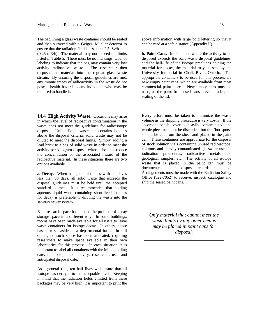The bag lining a glass waste container should be sealed and then surveyed with a Geiger- Mueller detector to ensure that the radiation field is less than 2.5uSv/h (0.25 mR/h). The material may not exceed the limits listed in Table 5. There must be no markings, tape, or labeling to indicate that the bag may contain very low activity radioactive waste. The researcher then disposes the material into the regular glass waste stream. By ensuring the disposal guidelines are met, any minute traces of radioactivity in the waste do not pose a health hazard to any individual who may be required to handle it.

**14.4 High Activity Waste.** Occasions may arise in which the level of radioactive contamination in the waste does not meet the guidelines for radioisotope disposal. Unlike liquid waste that contains isotopes above the disposal criteria, solid waste may not be diluted to meet the disposal limits. Simply adding a lead brick to a bag of solid waste in order to meet the activity per kilogram disposal criteria does not reduce the concentration or the associated hazard of the radioactive material. In these situations there are two options available.

**a. Decay.** When using radioisotopes with half-lives less than 90 days, all solid waste that exceeds the disposal guidelines must be held until the accepted standard is met. It is recommended that holding aqueous liquid waste containing short-lived isotopes for decay is preferable to diluting the waste into the sanitary sewer system.

Each research space has tackled the problem of decay storage space in a different way. In some buildings, rooms have been made available for all users to leave waste containers for isotope decay. In others, space has been set aside on a departmental basis. In still others, no such space has been allocated, requiring researchers to make space available in their own laboratories for this process. In each situation, it is important to label all containers with the initial holding date, the isotope and activity, researcher, user and anticipated disposal date.

As a general rule, ten half lives will ensure that all isotope has decayed to the acceptable level. Keeping in mind that the radiation fields emitted from these packages may be very high, it is important to print the

above information with large bold lettering so that it can be read at a safe distance (Appendix II).

**b. Paint Cans.** In situations where the activity to be disposed exceeds the solid waste disposal guidelines, and the half-life of the isotope precludes holding the material for decay, the material may be sent by the University for burial in Chalk River, Ontario. The appropriate containers to be used for this process are new empty paint cans, which are available from most commercial paint stores. New empty cans must be used, as the paint from used cans prevents adequate sealing of the lid.

Every effort must be taken to minimize the waste volume as the shipping procedure is very costly. If the absorbent bench cover is heavily contaminated, the whole piece need not be discarded, but the "hot spots" should be cut from the sheet and placed in the paint can. These containers are appropriate for the disposal of stock solution vials containing unused radioisotope, columns and heavily contaminated glassware used in iodination procedures, radioactive metals and geological samples, etc. The activity of all isotope waste that is placed in the paint can must be documented and the disposal records maintained. Arrangements must be made with the Radiation Safety Office (822-7052) to receive, inspect, catalogue and ship the sealed paint cans.

*Only material that cannot meet the waste limits by any other means may be placed in paint cans for disposal.*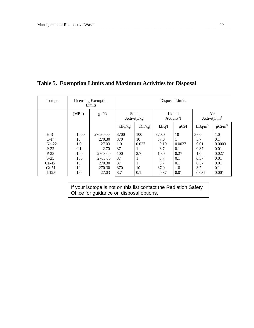# **Table 5. Exemption Limits and Maximum Activities for Disposal**

| Isotope | <b>Licensing Exemption</b><br>Limits |            | Disposal Limits      |             |                      |            |                       |                         |  |
|---------|--------------------------------------|------------|----------------------|-------------|----------------------|------------|-----------------------|-------------------------|--|
|         | (MBq)                                | $(\mu Ci)$ | Solid<br>Activity/kg |             | Liquid<br>Activity/l |            | Air<br>Activity/ $m3$ |                         |  |
|         |                                      |            | kBq/kg               | $\mu$ Ci/kg | kBq/l                | $\mu$ Ci/l | $kBq/m^3$             | $\mu$ Ci/m <sup>3</sup> |  |
| $H-3$   | 1000                                 | 27030.00   | 3700                 | 100         | 370.0                | 10         | 37.0                  | 1.0                     |  |
| $C-14$  | 10                                   | 270.30     | 370                  | 10          | 37.0                 |            | 3.7                   | 0.1                     |  |
| $Na-22$ | 1.0                                  | 27.03      | 1.0                  | 0.027       | 0.10                 | 0.0027     | 0.01                  | 0.0003                  |  |
| $P-32$  | 0.1                                  | 2.70       | 37                   |             | 3.7                  | 0.1        | 0.37                  | 0.01                    |  |
| P-33    | 100                                  | 2703.00    | 100                  | 2.7         | 10.0                 | 0.27       | 1.0                   | 0.027                   |  |
| $S-35$  | 100                                  | 2703.00    | 37                   | 1           | 3.7                  | 0.1        | 0.37                  | 0.01                    |  |
| $Ca-45$ | 10                                   | 270.30     | 37                   | 1           | 3.7                  | 0.1        | 0.37                  | 0.01                    |  |
| $Cr-51$ | 10                                   | 270.30     | 370                  | 10          | 37.0                 | 1.0        | 3.7                   | 0.1                     |  |
| $I-125$ | 1.0                                  | 27.03      | 3.7                  | 0.1         | 0.37                 | 0.01       | 0.037                 | 0.001                   |  |
|         |                                      |            |                      |             |                      |            |                       |                         |  |

If your isotope is not on this list contact the Radiation Safety Office for guidance on disposal options.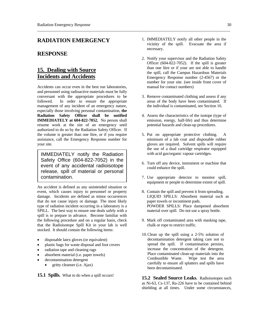#### **RADIATION EMERGENCY**

#### **RESPONSE**

# **15. Dealing with Source Incidents and Accidents**

Accidents can occur even in the best run laboratories, and personnel using radioactive materials must be fully conversant with the appropriate procedures to be followed. In order to ensure the appropriate management of any incident of an emergency nature, especially those involving personal contamination, **the Radiation Safety Officer shall be notified IMMEDIATELY at 604-822-7052.** No person shall resume work at the site of an emergency until authorized to do so by the Radiation Safety Officer. If the volume is greater than one litre, or if you require assistance, call the Emergency Response number for your site.

IMMEDIATELY notify the Radiation Safety Office (604-822-7052) in the event of any accidental radioisotope release, spill of material or personal contamination.

An accident is defined as any unintended situation or event, which causes injury to personnel or property damage. Incidents are defined as minor occurrences that do not cause injury or damage. The most likely type of radiation incident occurring in a laboratory is a SPILL. The best way to ensure one deals safely with a spill is to prepare in advance. Become familiar with the following procedure and on a regular basis, check that the Radioisotope Spill Kit in your lab is well stocked. It should contain the following items:

- disposable latex gloves (or equivalent)
- plastic bags for waste disposal and foot covers
- radiation tape and cleaning rags
- absorbent material (i.e. paper towels)
- decontamination detergent
	- $\bullet$  gritty cleanser (i.e. Ajax)

**15.1 Spills.** What to do when a spill occurs!

- 1. IMMEDIATELY notify all other people in the vicinity of the spill. Evacuate the area if necessary.
- 2. Notify your supervisor and the Radiation Safety Officer (604-822-7052). If the spill is greater than one litre or if your are not able to handle the spill, call the Campus Hazardous Materials Emergency Response number (2-4567) or the number for your site. (see inside front cover of manual for contact numbers)
- 3. Remove contaminated clothing and assess if any areas of the body have been contaminated. If the individual is contaminated, see Section 16.
- 4. Assess the characteristics of the isotope (type of emission, energy, half-life) and thus determine potential hazards and clean-up procedures.
- 5. Put on appropriate protective clothing. A minimum of a lab coat and disposable rubber gloves are required. Solvent spills will require the use of a dual cartridge respirator equipped with acid gas/organic vapour cartridges.
- 6. Turn off any device, instrument or machine that could enhance the spill.
- 7. Use appropriate detector to monitor spill, equipment or people to determine extent of spill.
- 8. Contain the spill and prevent it from spreading. LIQUID SPILLS: Absorbent material such as paper towels or incontinent pads. POWDER SPILLS: Place dampened absorbent material over spill. Do not use a spray bottle.
- 9. Mark off contaminated area with masking tape, chalk or rope to restrict traffic.
- 10. Clean up the spill using a 2-5% solution of decontamination detergent taking care not to spread the spill. If contamination persists, increase the concentration of the detergent. Place contaminated clean-up materials into the Combustible Waste. Wipe test the area carefully to ensure all splatters and spills have been decontaminated.

**15.2 Sealed Source Leaks.** Radioisotopes such as Ni-63, Cs-137, Ra-226 have to be contained behind shielding at all times. Under some circumstances,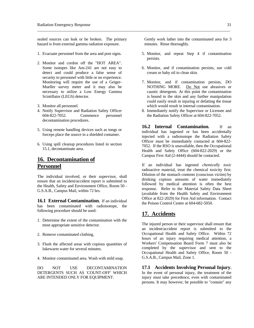sealed sources can leak or be broken. The primary hazard is from external gamma radiation exposure.

- 1. Evacuate personnel from the area and post signs.
- 2. Monitor and cordon off the "HOT AREA". Some isotopes like Am-241 are not easy to detect and could produce a false sense of security to personnel with little or no experience. Monitoring will require the use of a Geiger-Mueller survey meter and it may also be necessary to utilize a Low Energy Gamma Scintillator (LEGS) detector.
- 3. Monitor all personnel.
- 4. Notify Supervisor and Radiation Safety Officer 604-822-7052. Commence personnel decontamination procedures.
- 5. Using remote handling devices such as tongs or forceps place the source in a shielded container.
- 6. Using spill cleanup procedures listed in section 15.1, decontaminate area.

# **16. Decontamination of Personnel**

The individual involved, or their supervisor, shall ensure that an incident/accident report is submitted to the Health, Safety and Environment Office, Room 50 - G.S.A.B., Campus Mail, within 72 hrs.

**16.1 External Contamination.** If an individual has been contaminated with radioisotope, the following procedure should be used:

- 1. Determine the extent of the contamination with the most appropriate sensitive detector.
- 2. Remove contaminated clothing.
- 3. Flush the affected areas with copious quantities of lukewarm water for several minutes.
- 4. Monitor contaminated area. Wash with mild soap.

DO NOT USE DECONTAMINATION DETERGENTS SUCH AS 'COUNT-OFF' WHICH ARE INTENDED ONLY FOR EQUIPMENT.

 Gently work lather into the contaminated area for 3 minutes. Rinse thoroughly.

- 5. Monitor, and repeat Step 4 if contamination persists.
- 6. Monitor, and if contamination persists, use cold cream or baby oil to clean skin.
- 7. Monitor, and if contamination persists, DO NOTHING MORE. Do Not use abrasives or caustic detergents. At this point the contamination is bound to the skin and any further manipulation could easily result in injuring or defatting the tissue which would result in internal contamination.
- 8. Immediately notify the Supervisor or Licensee and the Radiation Safety Officer at 604-822-7052.

**16.2 Internal Contamination.** If an individual has ingested or has been accidentally injected with a radioisotope the Radiation Safety Officer must be immediately contacted at 604-822- 7052. If the RSO is unavailable, then the Occupational Health and Safety Office (604-822-2029) or the Campus First Aid (2-4444) should be contacted.

If an individual has ingested *chemically toxic* radioactive material, treat the chemical toxicity first. Dilution of the stomach contents (conscious victim) by drinking copious amounts of water immediately followed by medical attention is often the best response. Refer to the Material Safety Data Sheet (available from the Health Safety and Environment Office at 822-2029) for First Aid information. Contact the Poison Control Centre at 604-682-5050.

## **17. Accidents**

The injured person or their supervisor shall ensure that an incident/accident report is submitted to the Occupational Health and Safety Office. Within 72 hours of an injury requiring medical attention, a Workers' Compensation Board Form 7 must also be completed by the supervisor and sent to the Occupational Health and Safety Office, Room 50 - G.S.A.B., Campus Mail, Zone 1.

**17.1 Accidents Involving Personal Injury.** In the event of personal injury, the treatment of the injury must take precedence, even with contaminated persons. It may however, be possible to "contain" any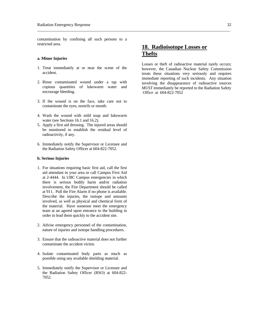contamination by confining all such persons to a restricted area.

#### **a. Minor Injuries**

- 1. Treat immediately at or near the scene of the accident.
- 2. Rinse contaminated wound under a tap with copious quantities of lukewarm water and encourage bleeding.
- 3. If the wound is on the face, take care not to contaminate the eyes, nostrils or mouth.
- 4. Wash the wound with mild soap and lukewarm water (see Sections 16.1 and 16.2).
- 5. Apply a first aid dressing. The injured areas should be monitored to establish the residual level of radioactivity, if any.
- 6. Immediately notify the Supervisor or Licensee and the Radiation Safety Officer at 604-822-7052.

#### **b. Serious Injuries**

- 1. For situations requiring basic first aid, call the first aid attendant in your area or call Campus First Aid at 2-4444. In UBC Campus emergencies in which there is serious bodily harm and/or radiation involvement, the Fire Department should be called at 911. Pull the Fire Alarm if no phone is available. Describe the injuries, the isotope and amounts involved, as well as physical and chemical form of the material. Have someone meet the emergency team at an agreed upon entrance to the building in order to lead them quickly to the accident site.
- 2. Advise emergency personnel of the contamination, nature of injuries and isotope handling procedures.
- 3. Ensure that the radioactive material does not further contaminate the accident victim.
- 4. Isolate contaminated body parts as much as possible using any available shielding material.
- 5. Immediately notify the Supervisor or Licensee and the Radiation Safety Officer (RSO) at 604-822- 7052.

# **18. Radioisotope Losses or Thefts**

Losses or theft of radioactive material rarely occurs; however, the Canadian Nuclear Safety Commission treats these situations very seriously and requires immediate reporting of such incidents. Any situation involving the disappearance of radioactive sources *MUST* immediately be reported to the Radiation Safety Office at 604-822-7052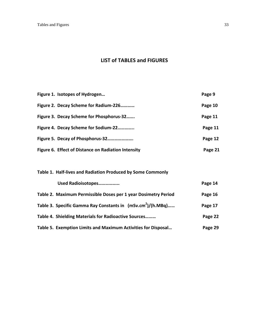# **LIST of TABLES and FIGURES**

| Figure 1. Isotopes of Hydrogen                      | Page 9  |
|-----------------------------------------------------|---------|
| Figure 2. Decay Scheme for Radium-226               | Page 10 |
| Figure 3. Decay Scheme for Phosphorus-32            | Page 11 |
| Figure 4. Decay Scheme for Sodium-22                | Page 11 |
|                                                     | Page 12 |
| Figure 6. Effect of Distance on Radiation Intensity | Page 21 |
|                                                     |         |

| Table 1. Half-lives and Radiation Produced by Some Commonly    |         |
|----------------------------------------------------------------|---------|
| Used Radioisotopes                                             | Page 14 |
| Table 2. Maximum Permissible Doses per 1 year Dosimetry Period | Page 16 |
| Table 3. Specific Gamma Ray Constants in $(mSv.cm^2)/(h.MBq)$  | Page 17 |
| Table 4. Shielding Materials for Radioactive Sources           | Page 22 |
| Table 5. Exemption Limits and Maximum Activities for Disposal  | Page 29 |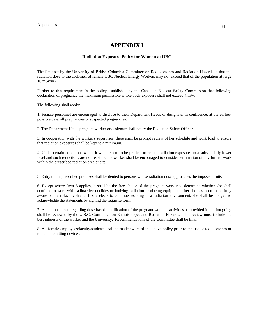## **APPENDIX I**

#### **Radiation Exposure Policy for Women at UBC**

The limit set by the University of British Columbia Committee on Radioisotopes and Radiation Hazards is that the radiation dose to the abdomen of female UBC Nuclear Energy Workers may not exceed that of the population at large 10 mSv/yr).

Further to this requirement is the policy established by the Canadian Nuclear Safety Commission that following declaration of pregnancy the maximum permissible whole body exposure shall not exceed 4mSv.

The following shall apply:

1. Female personnel are encouraged to disclose to their Department Heads or designate, in confidence, at the earliest possible date, all pregnancies or suspected pregnancies.

2. The Department Head, pregnant worker or designate shall notify the Radiation Safety Officer.

3. In cooperation with the worker's supervisor, there shall be prompt review of her schedule and work load to ensure that radiation exposures shall be kept to a minimum.

4. Under certain conditions where it would seem to be prudent to reduce radiation exposures to a substantially lower level and such reductions are not feasible, the worker shall be encouraged to consider termination of any further work within the prescribed radiation area or site.

5. Entry to the prescribed premises shall be denied to persons whose radiation dose approaches the imposed limits.

6. Except where Item 5 applies, it shall be the free choice of the pregnant worker to determine whether she shall continue to work with radioactive nuclides or ionizing radiation producing equipment after she has been made fully aware of the risks involved. If she elects to continue working in a radiation environment, she shall be obliged to acknowledge the statements by signing the requisite form.

7. All actions taken regarding dose-based modification of the pregnant worker's activities as provided in the foregoing shall be reviewed by the U.B.C. Committee on Radioisotopes and Radiation Hazards. This review must include the best interests of the worker and the University. Recommendations of the Committee shall be final.

8. All female employees/faculty/students shall be made aware of the above policy prior to the use of radioisotopes or radiation emitting devices.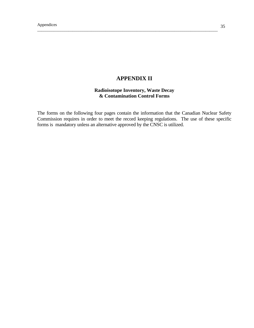# **APPENDIX II**

## **Radioisotope Inventory, Waste Decay & Contamination Control Forms**

The forms on the following four pages contain the information that the Canadian Nuclear Safety Commission requires in order to meet the record keeping regulations. The use of these specific forms is mandatory unless an alternative approved by the CNSC is utilized.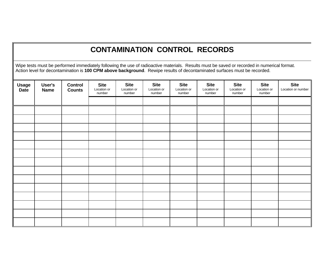# **CONTAMINATION CONTROL RECORDS**

Wipe tests must be performed immediately following the use of radioactive materials. Results must be saved or recorded in numerical format. Action level for decontamination is **100 CPM above background**. Rewipe results of decontaminated surfaces must be recorded.

| Usage<br>Date | User's<br><b>Name</b> | Control<br><b>Counts</b> | <b>Site</b><br>Location or<br>number | <b>Site</b><br>Location or<br>number | <b>Site</b><br>Location or<br>number | <b>Site</b><br>Location or<br>number | <b>Site</b><br>Location or<br>number | <b>Site</b><br>Location or<br>number | <b>Site</b><br>Location or<br>number | <b>Site</b><br>Location or number |
|---------------|-----------------------|--------------------------|--------------------------------------|--------------------------------------|--------------------------------------|--------------------------------------|--------------------------------------|--------------------------------------|--------------------------------------|-----------------------------------|
|               |                       |                          |                                      |                                      |                                      |                                      |                                      |                                      |                                      |                                   |
|               |                       |                          |                                      |                                      |                                      |                                      |                                      |                                      |                                      |                                   |
|               |                       |                          |                                      |                                      |                                      |                                      |                                      |                                      |                                      |                                   |
|               |                       |                          |                                      |                                      |                                      |                                      |                                      |                                      |                                      |                                   |
|               |                       |                          |                                      |                                      |                                      |                                      |                                      |                                      |                                      |                                   |
|               |                       |                          |                                      |                                      |                                      |                                      |                                      |                                      |                                      |                                   |
|               |                       |                          |                                      |                                      |                                      |                                      |                                      |                                      |                                      |                                   |
|               |                       |                          |                                      |                                      |                                      |                                      |                                      |                                      |                                      |                                   |
|               |                       |                          |                                      |                                      |                                      |                                      |                                      |                                      |                                      |                                   |
|               |                       |                          |                                      |                                      |                                      |                                      |                                      |                                      |                                      |                                   |
|               |                       |                          |                                      |                                      |                                      |                                      |                                      |                                      |                                      |                                   |
|               |                       |                          |                                      |                                      |                                      |                                      |                                      |                                      |                                      |                                   |
|               |                       |                          |                                      |                                      |                                      |                                      |                                      |                                      |                                      |                                   |
|               |                       |                          |                                      |                                      |                                      |                                      |                                      |                                      |                                      |                                   |
|               |                       |                          |                                      |                                      |                                      |                                      |                                      |                                      |                                      |                                   |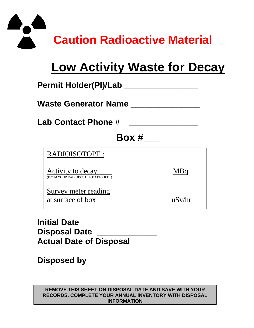

# **Low Activity Waste for Decay**

| Permit Holder(PI)/Lab                                   |        |  |  |  |  |  |  |  |
|---------------------------------------------------------|--------|--|--|--|--|--|--|--|
| Waste Generator Name                                    |        |  |  |  |  |  |  |  |
| <b>Lab Contact Phone #</b>                              |        |  |  |  |  |  |  |  |
| Box #                                                   |        |  |  |  |  |  |  |  |
| RADIOISOTOPE:                                           |        |  |  |  |  |  |  |  |
| Activity to decay<br>(FROM YOUR RADIOISOTOPE DATASHEET) | MBq    |  |  |  |  |  |  |  |
| Survey meter reading<br>at surface of box               | uSv/hr |  |  |  |  |  |  |  |
| منمحا امنننما                                           |        |  |  |  |  |  |  |  |

**Initial Date \_\_\_\_\_\_\_\_\_\_\_\_\_ Disposal Date \_\_\_\_\_\_\_\_\_\_\_\_\_**  Actual Date of Disposal \_\_\_\_\_\_\_\_\_\_\_\_

**Disposed by \_\_\_\_\_\_\_\_\_\_\_\_\_\_\_\_\_\_\_\_\_** 

**REMOVE THIS SHEET ON DISPOSAL DATE AND SAVE WITH YOUR RECORDS. COMPLETE YOUR ANNUAL INVENTORY WITH DISPOSAL INFORMATION**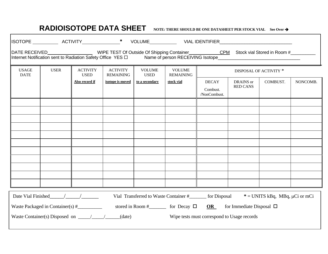# **RADIOISOTOPE DATA SHEET NOTE: THERE SHOULD BE ONE DATASHEET PER STOCK VIAL See Over**

| DATE RECEIVED_________________________WIPE TEST Of Outside Of Shipping Container____________CPM Stock vial Stored in Room #__________<br>Internet Notification sent to Radiation Safety Office YES D Name of person RECEIVING Isotope <b>CONVERGES</b> |                                                     |                                |                                     |                              |                                                                                            |                                             |                              |                        |          |
|--------------------------------------------------------------------------------------------------------------------------------------------------------------------------------------------------------------------------------------------------------|-----------------------------------------------------|--------------------------------|-------------------------------------|------------------------------|--------------------------------------------------------------------------------------------|---------------------------------------------|------------------------------|------------------------|----------|
| <b>USAGE</b><br><b>DATE</b>                                                                                                                                                                                                                            | <b>USER</b>                                         | <b>ACTIVITY</b><br><b>USED</b> | <b>ACTIVITY</b><br><b>REMAINING</b> | <b>VOLUME</b><br><b>USED</b> | <b>VOLUME</b><br><b>REMAINING</b>                                                          |                                             |                              | DISPOSAL OF ACTIVITY * |          |
|                                                                                                                                                                                                                                                        |                                                     | Also record if                 | isotope is moved                    | to a secondary               | stock vial                                                                                 | <b>DECAY</b><br>Combust.<br>/NonCombust.    | DRAINS or<br><b>RED CANS</b> | COMBUST.               | NONCOMB. |
|                                                                                                                                                                                                                                                        |                                                     |                                |                                     |                              |                                                                                            |                                             |                              |                        |          |
|                                                                                                                                                                                                                                                        |                                                     |                                |                                     |                              |                                                                                            |                                             |                              |                        |          |
|                                                                                                                                                                                                                                                        |                                                     |                                |                                     |                              |                                                                                            |                                             |                              |                        |          |
|                                                                                                                                                                                                                                                        |                                                     |                                |                                     |                              |                                                                                            |                                             |                              |                        |          |
| Date Vial Finished $/$<br>Vial Transferred to Waste Container #________ for Disposal<br>$*$ = UNITS kBq, MBq, $\mu$ Ci or mCi                                                                                                                          |                                                     |                                |                                     |                              |                                                                                            |                                             |                              |                        |          |
|                                                                                                                                                                                                                                                        | Waste Container(s) Disposed on $\frac{\sqrt{2}}{2}$ |                                | (date)                              |                              | stored in Room #___________ for Decay $\Box$ <b>OR</b> _____ for Immediate Disposal $\Box$ | Wipe tests must correspond to Usage records |                              |                        |          |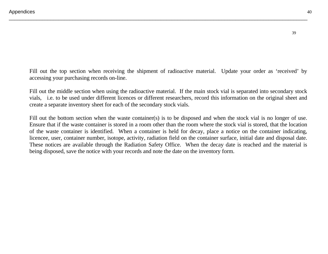Fill out the top section when receiving the shipment of radioactive material. Update your order as 'received' by accessing your purchasing records on-line.

\_\_\_\_\_\_\_\_\_\_\_\_\_\_\_\_\_\_\_\_\_\_\_\_\_\_\_\_\_\_\_\_\_\_\_\_\_\_\_\_\_\_\_\_\_\_\_\_\_\_\_\_\_\_\_\_\_\_\_\_\_\_\_\_\_\_\_\_\_\_\_\_\_\_\_\_\_\_\_\_\_\_\_\_\_\_\_\_\_\_\_\_\_\_\_\_\_\_\_\_\_\_\_\_\_\_\_\_

Fill out the middle section when using the radioactive material. If the main stock vial is separated into secondary stock vials, i.e. to be used under different licences or different researchers, record this information on the original sheet and create a separate inventory sheet for each of the secondary stock vials.

Fill out the bottom section when the waste container(s) is to be disposed and when the stock vial is no longer of use. Ensure that if the waste container is stored in a room other than the room where the stock vial is stored, that the location of the waste container is identified. When a container is held for decay, place a notice on the container indicating, licencee, user, container number, isotope, activity, radiation field on the container surface, initial date and disposal date. These notices are available through the Radiation Safety Office. When the decay date is reached and the material is being disposed, save the notice with your records and note the date on the inventory form.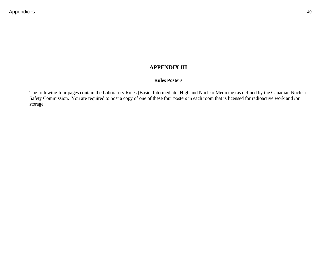# **APPENDIX III**

\_\_\_\_\_\_\_\_\_\_\_\_\_\_\_\_\_\_\_\_\_\_\_\_\_\_\_\_\_\_\_\_\_\_\_\_\_\_\_\_\_\_\_\_\_\_\_\_\_\_\_\_\_\_\_\_\_\_\_\_\_\_\_\_\_\_\_\_\_\_\_\_\_\_\_\_\_\_\_\_\_\_\_\_\_\_\_\_\_\_\_\_\_\_\_\_\_\_\_\_\_\_\_\_\_\_\_\_

#### **Rules Posters**

The following four pages contain the Laboratory Rules (Basic, Intermediate, High and Nuclear Medicine) as defined by the Canadian Nuclear Safety Commission. You are required to post a copy of one of these four posters in each room that is licensed for radioactive work and /or storage.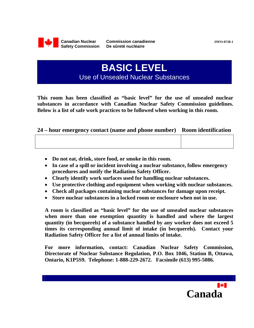

**BASIC LEVEL**  Use of Unsealed Nuclear Substances

**This room has been classified as "basic level" for the use of unsealed nuclear substances in accordance with Canadian Nuclear Safety Commission guidelines. Below is a list of safe work practices to be followed when working in this room.** 

## **24 – hour emergency contact (name and phone number) Room identification**

- **Do not eat, drink, store food, or smoke in this room.**
- **In case of a spill or incident involving a nuclear substance, follow emergency procedures and notify the Radiation Safety Officer.**
- **Clearly identify work surfaces used for handling nuclear substances.**
- **Use protective clothing and equipment when working with nuclear substances.**
- **Check all packages containing nuclear substances for damage upon receipt.**
- **Store nuclear substances in a locked room or enclosure when not in use.**

**A room is classified as "basic level" for the use of unsealed nuclear substances when more than one exemption quantity is handled and where the largest quantity (in becquerels) of a substance handled by any worker does not exceed 5 times its corresponding annual limit of intake (in becquerels). Contact your Radiation Safety Officer for a list of annual limits of intake.** 

**For more information, contact: Canadian Nuclear Safety Commission, Directorate of Nuclear Substance Regulation, P.O. Box 1046, Station B, Ottawa, Ontario, K1P5S9. Telephone: 1-888-229-2672. Facsimile (613) 995-5086.** 

**Canada**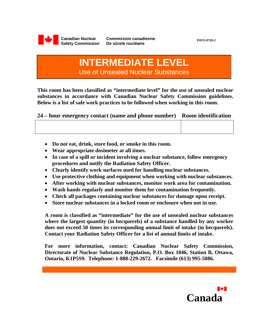

**INFO-0728-2** 

# **INTERMEDIATE LEVEL**  Use of Unsealed Nuclear Substances

**This room has been classified as "intermediate level" for the use of unsealed nuclear substances in accordance with Canadian Nuclear Safety Commission guidelines. Below is a list of safe work practices to be followed when working in this room.** 

**24 – hour emergency contact (name and phone number) Room identification** 

|  |  |  |  | Do not eat, drink, store food, or smoke in this room. |  |
|--|--|--|--|-------------------------------------------------------|--|
|--|--|--|--|-------------------------------------------------------|--|

- **Wear appropriate dosimeter at all times.**
- **In case of a spill or incident involving a nuclear substance, follow emergency procedures and notify the Radiation Safety Officer.**
- **Clearly identify work surfaces used for handling nuclear substances.**
- **Use protective clothing and equipment when working with nuclear substances.**
- **After working with nuclear substances, monitor work area for contamination.**
- **Wash hands regularly and monitor them for contamination frequently.**
- **Check all packages containing nuclear substances for damage upon receipt.**
- **Store nuclear substances in a locked room or enclosure when not in use.**

**A room is classified as "intermediate" for the use of unsealed nuclear substances where the largest quantity (in becquerels) of a substance handled by any worker does not exceed 50 times its corresponding annual limit of intake (in becquerels). Contact your Radiation Safety Officer for a list of annual limits of intake.** 

**For more information, contact: Canadian Nuclear Safety Commission, Directorate of Nuclear Substance Regulation, P.O. Box 1046, Station B, Ottawa, Ontario, K1P5S9. Telephone: 1-888-229-2672. Facsimile (613) 995-5086.** 

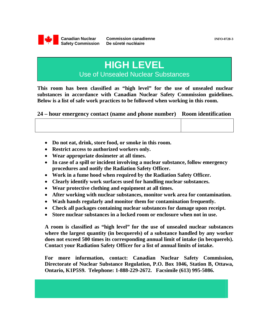

# **HIGH LEVEL**

Use of Unsealed Nuclear Substances

**This room has been classified as "high level" for the use of unsealed nuclear substances in accordance with Canadian Nuclear Safety Commission guidelines. Below is a list of safe work practices to be followed when working in this room.** 

**24 – hour emergency contact (name and phone number) Room identification** 

- **Do not eat, drink, store food, or smoke in this room.**
- **Restrict access to authorized workers only.**
- **Wear appropriate dosimeter at all times.**
- **In case of a spill or incident involving a nuclear substance, follow emergency procedures and notify the Radiation Safety Officer.**
- **Work in a fume hood when required by the Radiation Safety Officer.**
- **Clearly identify work surfaces used for handling nuclear substances.**
- **Wear protective clothing and equipment at all times.**
- **After working with nuclear substances, monitor work area for contamination.**
- **Wash hands regularly and monitor them for contamination frequently.**
- **Check all packages containing nuclear substances for damage upon receipt.**
- **Store nuclear substances in a locked room or enclosure when not in use.**

**A room is classified as "high level" for the use of unsealed nuclear substances where the largest quantity (in becquerels) of a substance handled by any worker does not exceed 500 times its corresponding annual limit of intake (in becquerels). Contact your Radiation Safety Officer for a list of annual limits of intake.** 

**For more information, contact: Canadian Nuclear Safety Commission, Directorate of Nuclear Substance Regulation, P.O. Box 1046, Station B, Ottawa, Ontario, K1P5S9. Telephone: 1-888-229-2672. Facsimile (613) 995-5086.**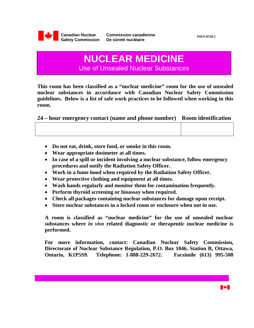

# **NUCLEAR MEDICINE**  Use of Unsealed Nuclear Substances

**This room has been classified as a "nuclear medicine" room for the use of unsealed nuclear substances in accordance with Canadian Nuclear Safety Commission guidelines. Below is a list of safe work practices to be followed when working in this room.** 

**24 – hour emergency contact (name and phone number) Room identification** 

| Do not eat, drink, store food, or smoke in this room. |  |  |  |  |  |
|-------------------------------------------------------|--|--|--|--|--|
|-------------------------------------------------------|--|--|--|--|--|

- **Wear appropriate dosimeter at all times.**
- **In case of a spill or incident involving a nuclear substance, follow emergency procedures and notify the Radiation Safety Officer.**
- **Work in a fume hood when required by the Radiation Safety Officer.**
- **Wear protective clothing and equipment at all times.**
- **Wash hands regularly and monitor them for contamination frequently.**
- **Perform thyroid screening or bioassay when required.**
- **Check all packages containing nuclear substances for damage upon receipt.**
- **Store nuclear substances in a locked room or enclosure when not in use.**

**A room is classified as "nuclear medicine" for the use of unsealed nuclear substances where** *in vivo* **related diagnostic or therapeutic nuclear medicine is performed.** 

**For more information, contact: Canadian Nuclear Safety Commission, Directorate of Nuclear Substance Regulation, P.O. Box 1046, Station B, Ottawa, Ontario, K1P5S9. Telephone: 1-888-229-2672. Facsimile (613) 995-508**

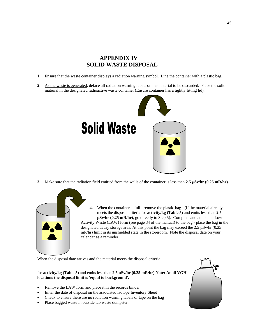# **APPENDIX IV SOLID WASTE DISPOSAL**

- **1.** Ensure that the waste container displays a radiation warning symbol. Line the container with a plastic bag.
- **2.** As the waste is generated, deface all radiation warning labels on the material to be discarded. Place the solid material in the designated radioactive waste container (Ensure container has a tightly fitting lid).



**3.** Make sure that the radiation field emitted from the walls of the container is less than  $2.5 \mu Sv/hr$  (0.25 mR/hr).



**4.** When the container is full - remove the plastic bag - (If the material already meets the disposal criteria for **activity/kg (Table 5)** and emits less than **2.5 Sv/hr (0.25 mR/hr)**, go directly to Step 5). Complete and attach the Low Activity Waste (LAW) form (see page 34 of the manual) to the bag - place the bag in the designated decay storage area. At this point the bag may exceed the  $2.5 \mu Sv/hr$  (0.25) mR/hr) limit in its unshielded state in the storeroom. Note the disposal date on your calendar as a reminder.

When the disposal date arrives and the material meets the disposal criteria –

for **activity/kg** (Table 5) and emits less than 2.5  $\mu$ Sv/hr (0.25 mR/hr) Note: At all VGH **locations the disposal limit is 'equal to background'.**

- Remove the LAW form and place it in the records binder
- Enter the date of disposal on the associated Isotope Inventory Sheet
- Check to ensure there are no radiation warning labels or tape on the bag
- Place bagged waste in outside lab waste dumpster.

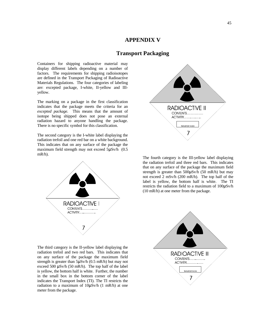#### **APPENDIX V**

# **Transport Packaging**

Containers for shipping radioactive material may display different labels depending on a number of factors. The requirements for shipping radioisotopes are defined in the Transport Packaging of Radioactive Materials Regulations. The four categories of labeling are: excepted package, I-white, II-yellow and IIIyellow.

The marking on a package in the first classification indicates that the package meets the criteria for an *excepted package.* This means that the amount of isotope being shipped does not pose an external radiation hazard to anyone handling the package. There is no specific symbol for this classification.

The second category is the I-white label displaying the radiation trefoil and one red bar on a white background. This indicates that on any surface of the package the maximum field strength may not exceed  $5\mu Sv/h$  (0.5) mR/h).





The fourth category is the III-yellow label displaying the radiation trefoil and three red bars. This indicates that on any surface of the package the maximum field strength is greater than 500 $\mu$ Sv/h (50 mR/h) but may not exceed 2 mSv/h (200 mR/h). The top half of the label is yellow, the bottom half is white. The TI restricts the radiation field to a maximum of 100μSv/h (10 mR/h) at one meter from the package.



The third category is the II-yellow label displaying the radiation trefoil and two red bars. This indicates that on any surface of the package the maximum field strength is greater than  $5\mu Sv/h$  (0.5 mR/h) but may not exceed 500 μSv/h (50 mR/h). The top half of the label is yellow, the bottom half is white. Further, the number in the small box in the bottom corner of the label indicates the Transport Index (TI). The TI restricts the radiation to a maximum of 10μSv/h (1 mR/h) at one meter from the package.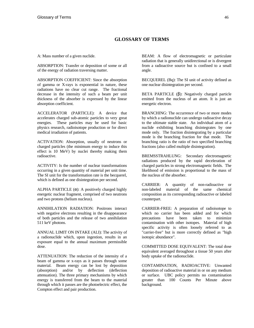#### **GLOSSARY OF TERMS**

A: Mass number of a given nuclide.

ABSORPTION: Transfer or deposition of some or all of the energy of radiation traversing matter.

ABSORPTION COEFFICIENT: Since the absorption of gamma or X-rays is exponential in nature, these radiations have no clear cut range. The fractional decrease in the intensity of such a beam per unit thickness of the absorber is expressed by the linear absorption coefficient.

ACCELERATOR (PARTICLE): A device that accelerates charged sub-atomic particles to very great energies. These particles may be used for basic physics research, radioisotope production or for direct medical irradiation of patients.

ACTIVATION: Absorption, usually of neutrons or charged particles (the minimum energy to induce this effect is 10 MeV) by nuclei thereby making them radioactive.

ACTIVITY: Is the number of nuclear transformations occurring in a given quantity of material per unit time. The SI unit for the transformation rate is the becquerel, which is defined as one disintegration per second.

ALPHA PARTICLE  $(\alpha)$ : A positively charged highly energetic nuclear fragment, comprised of two neutrons and two protons (helium nucleus).

ANNIHILATION RADIATION: Positrons interact with negative electrons resulting in the disappearance of both particles and the release of two annihilation 511 keV photons.

ANNUAL LIMIT ON INTAKE (ALI): The activity of a radionuclide which, upon ingestion, results in an exposure equal to the annual maximum permissible dose.

ATTENUATION: The reduction of the intensity of a beam of gamma or x-rays as it passes through some material. Beam energy can be lost by deposition (absorption) and/or by deflection (deflection attenuation). The three primary mechanisms by which energy is transferred from the beam to the material through which it passes are the photoelectric effect, the Compton effect and pair production.

BEAM: A flow of electromagnetic or particulate radiation that is generally unidirectional or is divergent from a radioactive source but is confined to a small angle.

BECQUEREL (Bq): The SI unit of activity defined as one nuclear disintegration per second.

BETA PARTICLE  $(β)$ : Negatively charged particle emitted from the nucleus of an atom. It is just an energetic electron.

BRANCHING: The occurrence of two or more modes by which a radionuclide can undergo radioactive decay to the ultimate stable state. An individual atom of a nuclide exhibiting branching disintegrates by one mode only. The fraction disintegrating by a particular mode is the branching fraction for that mode. The branching ratio is the ratio of two specified branching fractions (also called multiple disintegration).

BREMSSTRAHLUNG: Secondary electromagnetic radiations produced by the rapid deceleration of charged particles in strong electromagnetic fields. The likelihood of emission is proportional to the mass of the nucleus of the absorber.

CARRIER: A quantity of non-radioactive or non-labeled material of the same chemical composition as its corresponding radioactive or labeled counterpart.

CARRIER-FREE: A preparation of radioisotope to which no carrier has been added and for which precautions have been taken to minimize contamination with other isotopes. Material of high specific activity is often loosely referred to as "carrier-free" but is more correctly defined as "high isotopic abundance".

COMMITTED DOSE EQUIVALENT: The total dose equivalent averaged throughout a tissue 50 years after body uptake of the radionuclide.

CONTAMINATION, RADIOACTIVE: Unwanted deposition of radioactive material in or on any medium or surface. UBC policy permits no contamination greater than 100 Counts Per Minute above background.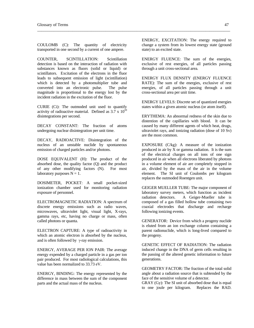COULOMB (C): The quantity of electricity transported in one second by a current of one ampere.

 $\overline{a}$  , and the contribution of the contribution of the contribution of the contribution of the contribution of the contribution of the contribution of the contribution of the contribution of the contribution of the co

COUNTER, SCINTILLATION: Scintillation detection is based on the interaction of radiation with substances known as fluors (solid or liquid) or scintillators. Excitation of the electrons in the fluor leads to subsequent emission of light (scintillation) which is detected by a photomultiplier tube and converted into an electronic pulse. The pulse magnitude is proportional to the energy lost by the incident radiation in the excitation of the fluor.

CURIE (Ci): The outmoded unit used to quantify activity of radioactive material. Defined as  $3.\overline{7} \times 10^{10}$ disintegrations per second.

DECAY CONSTANT: The fraction of atoms undergoing nuclear disintegration per unit time.

DECAY, RADIOACTIVE: Disintegration of the nucleus of an unstable nuclide by spontaneous emission of charged particles and/or photons.

DOSE EQUIVALENT (H): The product of the absorbed dose, the quality factor (Q) and the product of any other modifying factors (N). For most laboratory purposes  $N = 1$ .

DOSIMETER, POCKET: A small pocket-sized ionization chamber used for monitoring radiation exposure of personnel.

ELECTROMAGNETIC RADIATION: A spectrum of discrete energy emissions such as radio waves, microwaves, ultraviolet light, visual light, X-rays, gamma rays, etc, having no charge or mass, often called photons or quanta.

ELECTRON CAPTURE: A type of radioactivity in which an atomic electron is absorbed by the nucleus, and is often followed by  $\gamma$ -ray emission.

ENERGY, AVERAGE PER ION PAIR: The average energy expended by a charged particle in a gas per ion pair produced. For most radiological calculations, this value has been normalized to 33.73 eV.

ENERGY, BINDING: The energy represented by the difference in mass between the sum of the component parts and the actual mass of the nucleus.

ENERGY, EXCITATION: The energy required to change a system from its lowest energy state (ground state) to an excited state.

ENERGY FLUENCE: The sum of the energies, exclusive of rest energies, of all particles passing through a unit cross-sectional area.

ENERGY FLUX DENSITY (ENERGY FLUENCE RATE): The sum of the energies, exclusive of rest energies, of all particles passing through a unit cross-sectional area per unit time.

ENERGY LEVELS: Discrete set of quantized energies states within a given atomic nucleus (or atom itself).

ERYTHEMA: An abnormal redness of the skin due to distention of the capillaries with blood. It can be caused by many different agents of which heat, drugs, ultraviolet rays, and ionizing radiation (dose of 10 Sv) are the most common.

EXPOSURE (C/kg): A measure of the ionization produced in air by X or gamma radiation. It is the sum of the electrical charges on all ions of one sign produced in air when all electrons liberated by photons in a volume element of air are completely stopped in air, divided by the mass of the air in the volume element. The SI unit of Coulombs per kilogram replaces the outmoded Roentgen unit.

GEIGER MUELLER TUBE: The major component of laboratory survey meters, which function as incident radiation detectors. A Geiger-Mueller tube is A Geiger-Mueller tube is composed of a gas filled hollow tube containing two coaxial electrodes that discharge and recharge following ionizing events.

GENERATOR: Device from which a progeny nuclide is eluted from an ion exchange column containing a parent radionuclide, which is long-lived compared to the progeny.

GENETIC EFFECT OF RADIATION: The radiation induced change in the DNA of germ cells resulting in the passing of the altered genetic information to future generations.

GEOMETRY FACTOR: The fraction of the total solid angle about a radiation source that is subtended by the face of the sensitive volume of a detector.

GRAY (Gy): The SI unit of absorbed dose that is equal to one joule per kilogram. Replaces the RAD.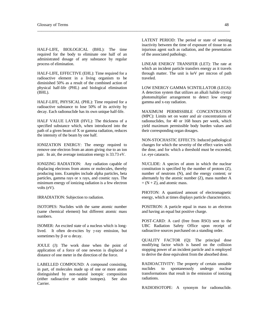HALF-LIFE, BIOLOGICAL (BHL): The time required for the body to eliminate one half of an administrated dosage of any substance by regular process of elimination.

HALF-LIFE, EFFECTIVE (EHL): Time required for a radioactive element in a living organism to be diminished 50% as a result of the combined action of physical half-life (PHL) and biological elimination (BHL).

HALF-LIFE, PHYSICAL (PHL): Time required for a radioactive substance to lose 50% of its activity by decay. Each radionuclide has its own unique half-life.

HALF VALUE LAYER (HVL): The thickness of a specified substance which, when introduced into the path of a given beam of X or gamma radiation, reduces the intensity of the beam by one half.

IONIZATION ENERGY: The energy required to remove one electron from an atom giving rise to an ion pair. In air, the average ionization energy is 33.73 eV.

IONIZING RADIATION: Any radiation capable of displacing electrons from atoms or molecules, thereby producing ions. Examples include alpha particles, beta particles, gamma rays or x rays, and cosmic rays. The minimum energy of ionizing radiation is a few electron volts (eV).

IRRADIATION: Subjection to radiation.

ISOTOPES: Nuclides with the same atomic number (same chemical element) but different atomic mass numbers.

ISOMER: An excited state of a nucleus which is longlived. It often de-excites by  $\gamma$ -ray emission, but sometimes by  $\beta$  or  $\alpha$  decay.

JOULE (J): The work done when the point of application of a force of one newton is displaced a distance of one meter in the direction of the force.

LABELLED COMPOUND: A compound consisting, in part, of molecules made up of one or more atoms distinguished by non-natural isotopic composition (either radioactive or stable isotopes). See also Carrier.

LATENT PERIOD: The period or state of seeming inactivity between the time of exposure of tissue to an injurious agent such as radiation, and the presentation of the associated pathology.

 $\overline{a}$  , and the contribution of the contribution of the contribution of the contribution of the contribution of the contribution of the contribution of the contribution of the contribution of the contribution of the co

LINEAR ENERGY TRANSFER (LET): The rate at which an incident particle transfers energy as it travels through matter. The unit is keV per micron of path traveled.

LOW ENERGY GAMMA SCINTILLATOR (LEGS): A detection system that utilizes an alkali halide crystal photomultiplier arrangement to detect low energy gamma and x-ray radiation.

MAXIMUM PERMISSIBLE CONCENTRATION (MPC): Limits set on water and air concentrations of radionuclides, for 40 or 168 hours per week, which yield maximum permissible body burden values and their corresponding organ dosages.

NON-STOCHASTIC EFFECTS: Induced pathological changes for which the severity of the effect varies with the dose, and for which a threshold must be exceeded, i.e. eye cataracts.

NUCLlDE: A species of atom in which the nuclear constitution is specified by the number of protons (Z), number of neutrons (N), and the energy content; or alternately by the atomic number (Z), mass number A  $=(N + Z)$ , and atomic mass.

PHOTON: A quantized amount of electromagnetic energy, which at times displays particle characteristics.

POSITRON: A particle equal in mass to an electron and having an equal but positive charge.

POST-CARD: A card (free from RSO) sent to the UBC Radiation Safety Office upon receipt of radioactive sources purchased on a standing order.

QUALITY FACTOR (Q): The principal dose modifying factor which is based on the collision stopping power of an incident particle and is employed to derive the dose equivalent from the absorbed dose.

RADIOACTIVITY: The property of certain unstable nuclides to spontaneously undergo nuclear transformations that result in the emission of ionizing radiations.

RADIOISOTOPE: A synonym for radionuclide.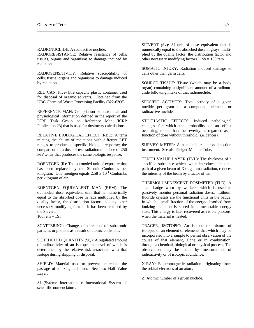RADIONUCLIDE: A radioactive nuclide.

RADIORESISTANCE: Relative resistance of cells, tissues, organs and organisms to damage induced by radiation.

RADIOSENSITIVITY: Relative susceptibility of cells, tissue, organs and organisms to damage induced by radiation.

RED CAN: Five- litre capacity plastic container used for disposal of organic solvents. Obtained from the UBC Chemical Waste Processing Facility (822-6306).

REFERENCE MAN: Compilation of anatomical and physiological information defined in the report of the ICRP Task Group on Reference Man (ICRP Publication 23) that is used for dosimetry calculations.

RELATIVE BIOLOGICAL EFFECT (RBE): A term relating the ability of radiations with different LET ranges to produce a specific biologic response; the comparison of a dose of test radiation to a dose of 250 keV x-ray that produces the same biologic response.

ROENTGEN (R): The outmoded unit of exposure that has been replaced by the Si unit Coulombs per kilogram. One roentgen equals  $2.58 \times 10^{-4}$  Coulombs per kilogram of air.

ROENTGEN EQUIVALENT MAN (REM): The outmoded dose equivalent unit that is numerically equal to the absorbed dose in rads multiplied by the quality factor, the distribution factor and any other necessary modifying factor. It has been replaced by the Sievert.  $100$  rem =  $1Sv$ 

SCATTERING: Change of direction of subatomic particles or photons as a result of atomic collisions.

SCHEDULED QUANTITY (SQ): A regulated amount of radioactivity of an isotope, the level of which is determined by the relative risk associated with that isotope during shipping or disposal.

SHIELD: Material used to prevent or reduce the passage of ionizing radiation. See also Half Value Layer.

SI (Syteme International): International System of scientific nomenclature.

SIEVERT (Sv): SI unit of dose equivalent that is numerically equal to the absorbed dose in grays, multiplied by the quality factor, the distribution factor and other necessary modifying factors.  $1 \text{ Sv} = 100 \text{ rem.}$ 

 $\overline{a}$  , and the contribution of the contribution of the contribution of the contribution of the contribution of the contribution of the contribution of the contribution of the contribution of the contribution of the co

SOMATIC INJURY: Radiation induced damage to cells other than germ cells.

SOURCE TISSUE: Tissue (which may be a body organ) containing a significant amount of a radionuclide following intake of that radionuclide.

SPECIFIC ACTIVITY: Total activity of a given nuclide per gram of a compound, element, or radioactive nuclide.

STOCHASTIC EFFECTS: Induced pathological changes for which the probability of an effect occurring, rather than the severity, is regarded as a function of dose without threshold (i.e. cancer).

SURVEY METER: A hand held radiation detection instrument. See also Geiger-Mueller Tube.

TENTH VALUE LAYER (TVL): The thickness of a specified substance which, when introduced into the path of a given beam of X or gamma radiation, reduces the intensity of the beam by a factor of ten.

THERMOLUMINESCENT DOSIMETER (TLD): A small badge worn by workers, which is used to passively monitor personal radiation doses. Lithium fluoride crystals are the functional units in the badge. In which a small fraction of the energy absorbed from ionizing radiation is stored in a metastable energy state. This energy is later recovered as visible photons, when the material is heated.

TRACER, ISOTOPIC: An isotope or mixture of isotopes of an element or elements that which may be incorporated into a sample to permit observation of the course of that element, alone or in combination, through a chemical, biological or physical process. The observation may be made by measurement of radioactivity or of isotopic abundance.

X-RAY: Electromagnetic radiation originating from the orbital electrons of an atom.

Z: Atomic number of a given nuclide.